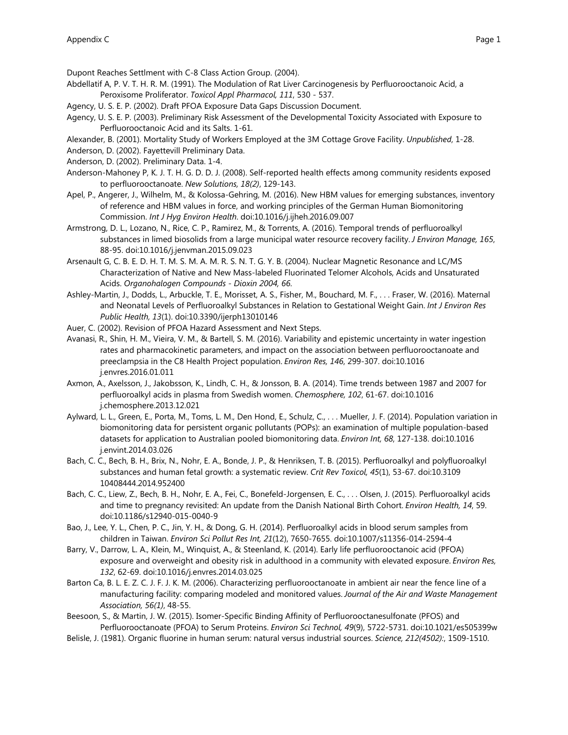Dupont Reaches Settlment with C-8 Class Action Group. (2004).

- Abdellatif A, P. V. T. H. R. M. (1991). The Modulation of Rat Liver Carcinogenesis by Perfluorooctanoic Acid, a Peroxisome Proliferator. *Toxicol Appl Pharmacol, 111*, 530 - 537.
- Agency, U. S. E. P. (2002). Draft PFOA Exposure Data Gaps Discussion Document.
- Agency, U. S. E. P. (2003). Preliminary Risk Assessment of the Developmental Toxicity Associated with Exposure to Perfluorooctanoic Acid and its Salts. 1-61.
- Alexander, B. (2001). Mortality Study of Workers Employed at the 3M Cottage Grove Facility. *Unpublished*, 1-28.

Anderson, D. (2002). Fayettevill Preliminary Data.

- Anderson, D. (2002). Preliminary Data. 1-4.
- Anderson-Mahoney P, K. J. T. H. G. D. D. J. (2008). Self-reported health effects among community residents exposed to perfluorooctanoate. *New Solutions, 18(2)*, 129-143.
- Apel, P., Angerer, J., Wilhelm, M., & Kolossa-Gehring, M. (2016). New HBM values for emerging substances, inventory of reference and HBM values in force, and working principles of the German Human Biomonitoring Commission. *Int J Hyg Environ Health*. doi:10.1016/j.ijheh.2016.09.007
- Armstrong, D. L., Lozano, N., Rice, C. P., Ramirez, M., & Torrents, A. (2016). Temporal trends of perfluoroalkyl substances in limed biosolids from a large municipal water resource recovery facility. *J Environ Manage, 165*, 88-95. doi:10.1016/j.jenvman.2015.09.023
- Arsenault G, C. B. E. D. H. T. M. S. M. A. M. R. S. N. T. G. Y. B. (2004). Nuclear Magnetic Resonance and LC/MS Characterization of Native and New Mass-labeled Fluorinated Telomer Alcohols, Acids and Unsaturated Acids. *Organohalogen Compounds - Dioxin 2004, 66*.
- Ashley-Martin, J., Dodds, L., Arbuckle, T. E., Morisset, A. S., Fisher, M., Bouchard, M. F., . . . Fraser, W. (2016). Maternal and Neonatal Levels of Perfluoroalkyl Substances in Relation to Gestational Weight Gain. *Int J Environ Res Public Health, 13*(1). doi:10.3390/ijerph13010146
- Auer, C. (2002). Revision of PFOA Hazard Assessment and Next Steps.
- Avanasi, R., Shin, H. M., Vieira, V. M., & Bartell, S. M. (2016). Variability and epistemic uncertainty in water ingestion rates and pharmacokinetic parameters, and impact on the association between perfluorooctanoate and preeclampsia in the C8 Health Project population. *Environ Res, 146*, 299-307. doi:10.1016 j.envres.2016.01.011
- Axmon, A., Axelsson, J., Jakobsson, K., Lindh, C. H., & Jonsson, B. A. (2014). Time trends between 1987 and 2007 for perfluoroalkyl acids in plasma from Swedish women. *Chemosphere, 102*, 61-67. doi:10.1016 j.chemosphere.2013.12.021
- Aylward, L. L., Green, E., Porta, M., Toms, L. M., Den Hond, E., Schulz, C., . . . Mueller, J. F. (2014). Population variation in biomonitoring data for persistent organic pollutants (POPs): an examination of multiple population-based datasets for application to Australian pooled biomonitoring data. *Environ Int, 68*, 127-138. doi:10.1016 j.envint.2014.03.026
- Bach, C. C., Bech, B. H., Brix, N., Nohr, E. A., Bonde, J. P., & Henriksen, T. B. (2015). Perfluoroalkyl and polyfluoroalkyl substances and human fetal growth: a systematic review. *Crit Rev Toxicol, 45*(1), 53-67. doi:10.3109 10408444.2014.952400
- Bach, C. C., Liew, Z., Bech, B. H., Nohr, E. A., Fei, C., Bonefeld-Jorgensen, E. C., . . . Olsen, J. (2015). Perfluoroalkyl acids and time to pregnancy revisited: An update from the Danish National Birth Cohort. *Environ Health, 14*, 59. doi:10.1186/s12940-015-0040-9
- Bao, J., Lee, Y. L., Chen, P. C., Jin, Y. H., & Dong, G. H. (2014). Perfluoroalkyl acids in blood serum samples from children in Taiwan. *Environ Sci Pollut Res Int, 21*(12), 7650-7655. doi:10.1007/s11356-014-2594-4
- Barry, V., Darrow, L. A., Klein, M., Winquist, A., & Steenland, K. (2014). Early life perfluorooctanoic acid (PFOA) exposure and overweight and obesity risk in adulthood in a community with elevated exposure. *Environ Res, 132*, 62-69. doi:10.1016/j.envres.2014.03.025
- Barton Ca, B. L. E. Z. C. J. F. J. K. M. (2006). Characterizing perfluorooctanoate in ambient air near the fence line of a manufacturing facility: comparing modeled and monitored values. *Journal of the Air and Waste Management Association, 56(1)*, 48-55.
- Beesoon, S., & Martin, J. W. (2015). Isomer-Specific Binding Affinity of Perfluorooctanesulfonate (PFOS) and Perfluorooctanoate (PFOA) to Serum Proteins. *Environ Sci Technol, 49*(9), 5722-5731. doi:10.1021/es505399w
- Belisle, J. (1981). Organic fluorine in human serum: natural versus industrial sources. *Science, 212(4502):*, 1509-1510.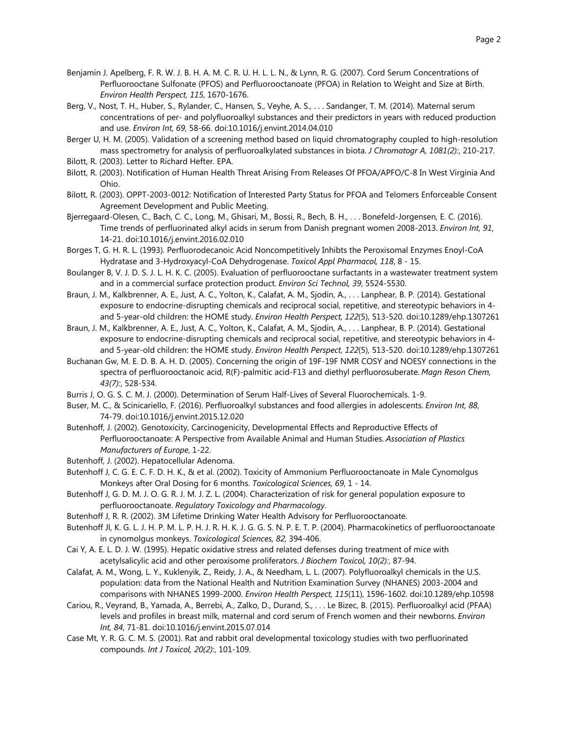- Benjamin J. Apelberg, F. R. W. J. B. H. A. M. C. R. U. H. L. L. N., & Lynn, R. G. (2007). Cord Serum Concentrations of Perfluorooctane Sulfonate (PFOS) and Perfluorooctanoate (PFOA) in Relation to Weight and Size at Birth. *Environ Health Perspect, 115*, 1670-1676.
- Berg, V., Nost, T. H., Huber, S., Rylander, C., Hansen, S., Veyhe, A. S., . . . Sandanger, T. M. (2014). Maternal serum concentrations of per- and polyfluoroalkyl substances and their predictors in years with reduced production and use. *Environ Int, 69*, 58-66. doi:10.1016/j.envint.2014.04.010
- Berger U, H. M. (2005). Validation of a screening method based on liquid chromatography coupled to high-resolution mass spectrometry for analysis of perfluoroalkylated substances in biota. *J Chromatogr A, 1081(2):*, 210-217.
- Bilott, R. (2003). Letter to Richard Hefter. EPA.
- Bilott, R. (2003). Notification of Human Health Threat Arising From Releases Of PFOA/APFO/C-8 In West Virginia And Ohio.
- Bilott, R. (2003). OPPT-2003-0012: Notification of Interested Party Status for PFOA and Telomers Enforceable Consent Agreement Development and Public Meeting.
- Bjerregaard-Olesen, C., Bach, C. C., Long, M., Ghisari, M., Bossi, R., Bech, B. H., . . . Bonefeld-Jorgensen, E. C. (2016). Time trends of perfluorinated alkyl acids in serum from Danish pregnant women 2008-2013. *Environ Int, 91*, 14-21. doi:10.1016/j.envint.2016.02.010
- Borges T, G. H. R. L. (1993). Perfluorodecanoic Acid Noncompetitively Inhibts the Peroxisomal Enzymes Enoyl-CoA Hydratase and 3-Hydroxyacyl-CoA Dehydrogenase. *Toxicol Appl Pharmacol, 118*, 8 - 15.
- Boulanger B, V. J. D. S. J. L. H. K. C. (2005). Evaluation of perfluorooctane surfactants in a wastewater treatment system and in a commercial surface protection product. *Environ Sci Technol, 39*, 5524-5530.
- Braun, J. M., Kalkbrenner, A. E., Just, A. C., Yolton, K., Calafat, A. M., Sjodin, A., . . . Lanphear, B. P. (2014). Gestational exposure to endocrine-disrupting chemicals and reciprocal social, repetitive, and stereotypic behaviors in 4 and 5-year-old children: the HOME study. *Environ Health Perspect, 122*(5), 513-520. doi:10.1289/ehp.1307261
- Braun, J. M., Kalkbrenner, A. E., Just, A. C., Yolton, K., Calafat, A. M., Sjodin, A., . . . Lanphear, B. P. (2014). Gestational exposure to endocrine-disrupting chemicals and reciprocal social, repetitive, and stereotypic behaviors in 4 and 5-year-old children: the HOME study. *Environ Health Perspect, 122*(5), 513-520. doi:10.1289/ehp.1307261
- Buchanan Gw, M. E. D. B. A. H. D. (2005). Concerning the origin of 19F-19F NMR COSY and NOESY connections in the spectra of perfluorooctanoic acid, R(F)-palmitic acid-F13 and diethyl perfluorosuberate. *Magn Reson Chem, 43(7):*, 528-534.
- Burris J, O. G. S. C. M. J. (2000). Determination of Serum Half-Lives of Several Fluorochemicals. 1-9.
- Buser, M. C., & Scinicariello, F. (2016). Perfluoroalkyl substances and food allergies in adolescents. *Environ Int, 88*, 74-79. doi:10.1016/j.envint.2015.12.020
- Butenhoff, J. (2002). Genotoxicity, Carcinogenicity, Developmental Effects and Reproductive Effects of Perfluorooctanoate: A Perspective from Available Animal and Human Studies. *Association of Plastics Manufacturers of Europe*, 1-22.
- Butenhoff, J. (2002). Hepatocellular Adenoma.
- Butenhoff J, C. G. E. C. F. D. H. K., & et al. (2002). Toxicity of Ammonium Perfluorooctanoate in Male Cynomolgus Monkeys after Oral Dosing for 6 months. *Toxicological Sciences, 69*, 1 - 14.
- Butenhoff J, G. D. M. J. O. G. R. J. M. J. Z. L. (2004). Characterization of risk for general population exposure to perfluorooctanoate. *Regulatory Toxicology and Pharmacology*.
- Butenhoff J, R. R. (2002). 3M Lifetime Drinking Water Health Advisory for Perfluorooctanoate.
- Butenhoff Jl, K. G. L. J. H. P. M. L. P. H. J. R. H. K. J. G. G. S. N. P. E. T. P. (2004). Pharmacokinetics of perfluorooctanoate in cynomolgus monkeys. *Toxicological Sciences, 82*, 394-406.
- Cai Y, A. E. L. D. J. W. (1995). Hepatic oxidative stress and related defenses during treatment of mice with acetylsalicylic acid and other peroxisome proliferators. *J Biochem Toxicol, 10(2):*, 87-94.
- Calafat, A. M., Wong, L. Y., Kuklenyik, Z., Reidy, J. A., & Needham, L. L. (2007). Polyfluoroalkyl chemicals in the U.S. population: data from the National Health and Nutrition Examination Survey (NHANES) 2003-2004 and comparisons with NHANES 1999-2000. *Environ Health Perspect, 115*(11), 1596-1602. doi:10.1289/ehp.10598
- Cariou, R., Veyrand, B., Yamada, A., Berrebi, A., Zalko, D., Durand, S., . . . Le Bizec, B. (2015). Perfluoroalkyl acid (PFAA) levels and profiles in breast milk, maternal and cord serum of French women and their newborns. *Environ Int, 84*, 71-81. doi:10.1016/j.envint.2015.07.014
- Case Mt, Y. R. G. C. M. S. (2001). Rat and rabbit oral developmental toxicology studies with two perfluorinated compounds. *Int J Toxicol, 20(2):*, 101-109.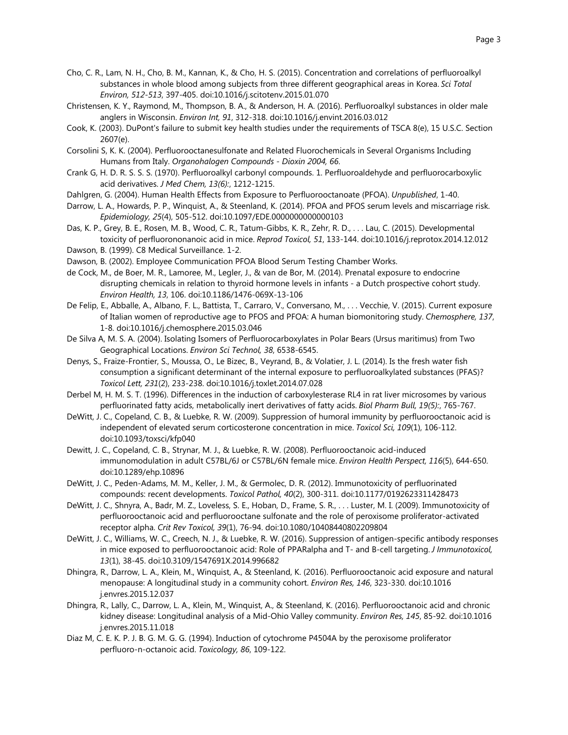- Cho, C. R., Lam, N. H., Cho, B. M., Kannan, K., & Cho, H. S. (2015). Concentration and correlations of perfluoroalkyl substances in whole blood among subjects from three different geographical areas in Korea. *Sci Total Environ, 512-513*, 397-405. doi:10.1016/j.scitotenv.2015.01.070
- Christensen, K. Y., Raymond, M., Thompson, B. A., & Anderson, H. A. (2016). Perfluoroalkyl substances in older male anglers in Wisconsin. *Environ Int, 91*, 312-318. doi:10.1016/j.envint.2016.03.012
- Cook, K. (2003). DuPont's failure to submit key health studies under the requirements of TSCA 8(e), 15 U.S.C. Section 2607(e).
- Corsolini S, K. K. (2004). Perfluorooctanesulfonate and Related Fluorochemicals in Several Organisms Including Humans from Italy. *Organohalogen Compounds - Dioxin 2004, 66*.
- Crank G, H. D. R. S. S. S. (1970). Perfluoroalkyl carbonyl compounds. 1. Perfluoroaldehyde and perfluorocarboxylic acid derivatives. *J Med Chem, 13(6):*, 1212-1215.
- Dahlgren, G. (2004). Human Health Effects from Exposure to Perfluorooctanoate (PFOA). *Unpublished*, 1-40.
- Darrow, L. A., Howards, P. P., Winquist, A., & Steenland, K. (2014). PFOA and PFOS serum levels and miscarriage risk. *Epidemiology, 25*(4), 505-512. doi:10.1097/EDE.0000000000000103
- Das, K. P., Grey, B. E., Rosen, M. B., Wood, C. R., Tatum-Gibbs, K. R., Zehr, R. D., . . . Lau, C. (2015). Developmental toxicity of perfluorononanoic acid in mice. *Reprod Toxicol, 51*, 133-144. doi:10.1016/j.reprotox.2014.12.012 Dawson, B. (1999). C8 Medical Surveillance. 1-2.
- Dawson, B. (2002). Employee Communication PFOA Blood Serum Testing Chamber Works.
- de Cock, M., de Boer, M. R., Lamoree, M., Legler, J., & van de Bor, M. (2014). Prenatal exposure to endocrine disrupting chemicals in relation to thyroid hormone levels in infants - a Dutch prospective cohort study. *Environ Health, 13*, 106. doi:10.1186/1476-069X-13-106
- De Felip, E., Abballe, A., Albano, F. L., Battista, T., Carraro, V., Conversano, M., . . . Vecchie, V. (2015). Current exposure of Italian women of reproductive age to PFOS and PFOA: A human biomonitoring study. *Chemosphere, 137*, 1-8. doi:10.1016/j.chemosphere.2015.03.046
- De Silva A, M. S. A. (2004). Isolating Isomers of Perfluorocarboxylates in Polar Bears (Ursus maritimus) from Two Geographical Locations. *Environ Sci Technol, 38*, 6538-6545.
- Denys, S., Fraize-Frontier, S., Moussa, O., Le Bizec, B., Veyrand, B., & Volatier, J. L. (2014). Is the fresh water fish consumption a significant determinant of the internal exposure to perfluoroalkylated substances (PFAS)? *Toxicol Lett, 231*(2), 233-238. doi:10.1016/j.toxlet.2014.07.028
- Derbel M, H. M. S. T. (1996). Differences in the induction of carboxylesterase RL4 in rat liver microsomes by various perfluorinated fatty acids, metabolically inert derivatives of fatty acids. *Biol Pharm Bull, 19(5):*, 765-767.
- DeWitt, J. C., Copeland, C. B., & Luebke, R. W. (2009). Suppression of humoral immunity by perfluorooctanoic acid is independent of elevated serum corticosterone concentration in mice. *Toxicol Sci, 109*(1), 106-112. doi:10.1093/toxsci/kfp040
- Dewitt, J. C., Copeland, C. B., Strynar, M. J., & Luebke, R. W. (2008). Perfluorooctanoic acid-induced immunomodulation in adult C57BL/6J or C57BL/6N female mice. *Environ Health Perspect, 116*(5), 644-650. doi:10.1289/ehp.10896
- DeWitt, J. C., Peden-Adams, M. M., Keller, J. M., & Germolec, D. R. (2012). Immunotoxicity of perfluorinated compounds: recent developments. *Toxicol Pathol, 40*(2), 300-311. doi:10.1177/0192623311428473
- DeWitt, J. C., Shnyra, A., Badr, M. Z., Loveless, S. E., Hoban, D., Frame, S. R., . . . Luster, M. I. (2009). Immunotoxicity of perfluorooctanoic acid and perfluorooctane sulfonate and the role of peroxisome proliferator-activated receptor alpha. *Crit Rev Toxicol, 39*(1), 76-94. doi:10.1080/10408440802209804
- DeWitt, J. C., Williams, W. C., Creech, N. J., & Luebke, R. W. (2016). Suppression of antigen-specific antibody responses in mice exposed to perfluorooctanoic acid: Role of PPARalpha and T- and B-cell targeting. *J Immunotoxicol, 13*(1), 38-45. doi:10.3109/1547691X.2014.996682
- Dhingra, R., Darrow, L. A., Klein, M., Winquist, A., & Steenland, K. (2016). Perfluorooctanoic acid exposure and natural menopause: A longitudinal study in a community cohort. *Environ Res, 146*, 323-330. doi:10.1016 j.envres.2015.12.037
- Dhingra, R., Lally, C., Darrow, L. A., Klein, M., Winquist, A., & Steenland, K. (2016). Perfluorooctanoic acid and chronic kidney disease: Longitudinal analysis of a Mid-Ohio Valley community. *Environ Res, 145*, 85-92. doi:10.1016 j.envres.2015.11.018
- Diaz M, C. E. K. P. J. B. G. M. G. G. (1994). Induction of cytochrome P4504A by the peroxisome proliferator perfluoro-n-octanoic acid. *Toxicology, 86*, 109-122.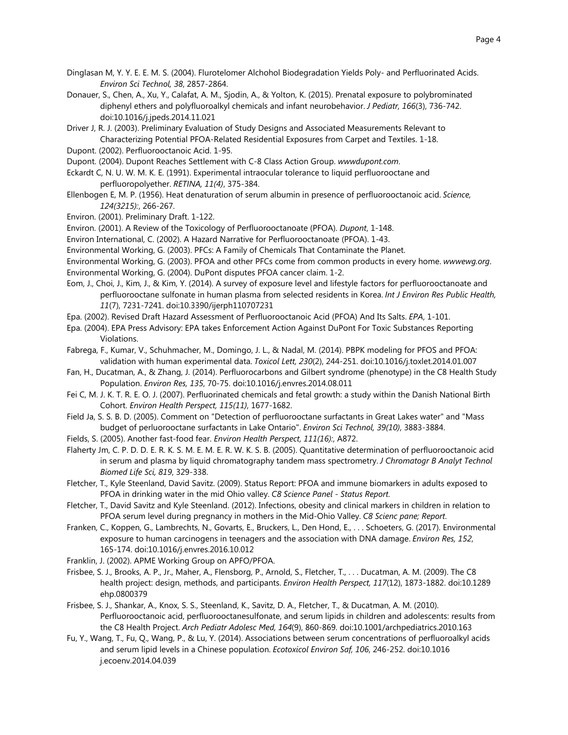- Dinglasan M, Y. Y. E. E. M. S. (2004). Flurotelomer Alchohol Biodegradation Yields Poly- and Perfluorinated Acids. *Environ Sci Technol, 38*, 2857-2864.
- Donauer, S., Chen, A., Xu, Y., Calafat, A. M., Sjodin, A., & Yolton, K. (2015). Prenatal exposure to polybrominated diphenyl ethers and polyfluoroalkyl chemicals and infant neurobehavior. *J Pediatr, 166*(3), 736-742. doi:10.1016/j.jpeds.2014.11.021
- Driver J, R. J. (2003). Preliminary Evaluation of Study Designs and Associated Measurements Relevant to Characterizing Potential PFOA-Related Residential Exposures from Carpet and Textiles. 1-18.
- Dupont. (2002). Perfluorooctanoic Acid. 1-95.
- Dupont. (2004). Dupont Reaches Settlement with C-8 Class Action Group. *wwwdupont.com*.
- Eckardt C, N. U. W. M. K. E. (1991). Experimental intraocular tolerance to liquid perfluorooctane and perfluoropolyether. *RETINA, 11(4)*, 375-384.
- Ellenbogen E, M. P. (1956). Heat denaturation of serum albumin in presence of perfluorooctanoic acid. *Science, 124(3215):*, 266-267.
- Environ. (2001). Preliminary Draft. 1-122.
- Environ. (2001). A Review of the Toxicology of Perfluorooctanoate (PFOA). *Dupont*, 1-148.
- Environ International, C. (2002). A Hazard Narrative for Perfluorooctanoate (PFOA). 1-43.
- Environmental Working, G. (2003). PFCs: A Family of Chemicals That Contaminate the Planet.
- Environmental Working, G. (2003). PFOA and other PFCs come from common products in every home. *wwwewg.org*.
- Environmental Working, G. (2004). DuPont disputes PFOA cancer claim. 1-2.
- Eom, J., Choi, J., Kim, J., & Kim, Y. (2014). A survey of exposure level and lifestyle factors for perfluorooctanoate and perfluorooctane sulfonate in human plasma from selected residents in Korea. *Int J Environ Res Public Health, 11*(7), 7231-7241. doi:10.3390/ijerph110707231
- Epa. (2002). Revised Draft Hazard Assessment of Perfluorooctanoic Acid (PFOA) And Its Salts. *EPA*, 1-101.
- Epa. (2004). EPA Press Advisory: EPA takes Enforcement Action Against DuPont For Toxic Substances Reporting Violations.
- Fabrega, F., Kumar, V., Schuhmacher, M., Domingo, J. L., & Nadal, M. (2014). PBPK modeling for PFOS and PFOA: validation with human experimental data. *Toxicol Lett, 230*(2), 244-251. doi:10.1016/j.toxlet.2014.01.007
- Fan, H., Ducatman, A., & Zhang, J. (2014). Perfluorocarbons and Gilbert syndrome (phenotype) in the C8 Health Study Population. *Environ Res, 135*, 70-75. doi:10.1016/j.envres.2014.08.011
- Fei C, M. J. K. T. R. E. O. J. (2007). Perfluorinated chemicals and fetal growth: a study within the Danish National Birth Cohort. *Environ Health Perspect, 115(11)*, 1677-1682.
- Field Ja, S. S. B. D. (2005). Comment on "Detection of perfluorooctane surfactants in Great Lakes water" and "Mass budget of perluorooctane surfactants in Lake Ontario". *Environ Sci Technol, 39(10)*, 3883-3884.
- Fields, S. (2005). Another fast-food fear. *Environ Health Perspect, 111(16):*, A872.
- Flaherty Jm, C. P. D. D. E. R. K. S. M. E. M. E. R. W. K. S. B. (2005). Quantitative determination of perfluorooctanoic acid in serum and plasma by liquid chromatography tandem mass spectrometry. *J Chromatogr B Analyt Technol Biomed Life Sci, 819*, 329-338.
- Fletcher, T., Kyle Steenland, David Savitz. (2009). Status Report: PFOA and immune biomarkers in adults exposed to PFOA in drinking water in the mid Ohio valley. *C8 Science Panel - Status Report*.
- Fletcher, T., David Savitz and Kyle Steenland. (2012). Infections, obesity and clinical markers in children in relation to PFOA serum level during pregnancy in mothers in the Mid-Ohio Valley. *C8 Scienc pane; Report*.
- Franken, C., Koppen, G., Lambrechts, N., Govarts, E., Bruckers, L., Den Hond, E., . . . Schoeters, G. (2017). Environmental exposure to human carcinogens in teenagers and the association with DNA damage. *Environ Res, 152*, 165-174. doi:10.1016/j.envres.2016.10.012
- Franklin, J. (2002). APME Working Group on APFO/PFOA.
- Frisbee, S. J., Brooks, A. P., Jr., Maher, A., Flensborg, P., Arnold, S., Fletcher, T., . . . Ducatman, A. M. (2009). The C8 health project: design, methods, and participants. *Environ Health Perspect, 117*(12), 1873-1882. doi:10.1289 ehp.0800379
- Frisbee, S. J., Shankar, A., Knox, S. S., Steenland, K., Savitz, D. A., Fletcher, T., & Ducatman, A. M. (2010). Perfluorooctanoic acid, perfluorooctanesulfonate, and serum lipids in children and adolescents: results from the C8 Health Project. *Arch Pediatr Adolesc Med, 164*(9), 860-869. doi:10.1001/archpediatrics.2010.163
- Fu, Y., Wang, T., Fu, Q., Wang, P., & Lu, Y. (2014). Associations between serum concentrations of perfluoroalkyl acids and serum lipid levels in a Chinese population. *Ecotoxicol Environ Saf, 106*, 246-252. doi:10.1016 j.ecoenv.2014.04.039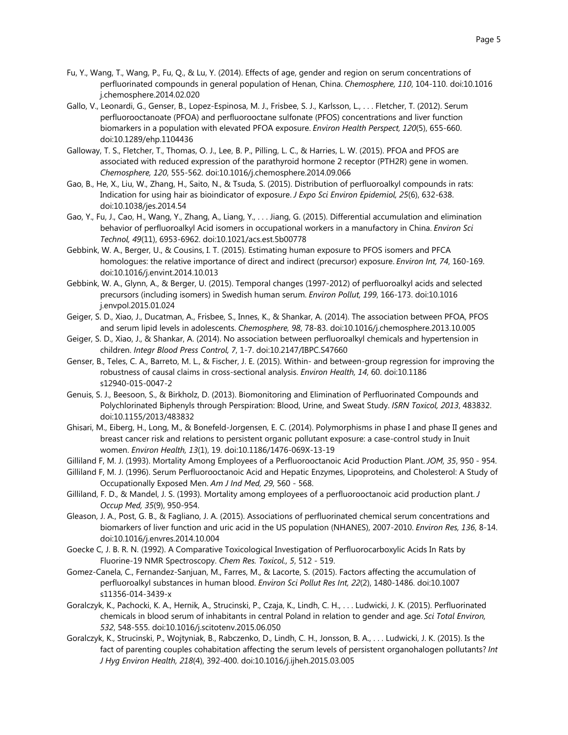- Fu, Y., Wang, T., Wang, P., Fu, Q., & Lu, Y. (2014). Effects of age, gender and region on serum concentrations of perfluorinated compounds in general population of Henan, China. *Chemosphere, 110*, 104-110. doi:10.1016 j.chemosphere.2014.02.020
- Gallo, V., Leonardi, G., Genser, B., Lopez-Espinosa, M. J., Frisbee, S. J., Karlsson, L., . . . Fletcher, T. (2012). Serum perfluorooctanoate (PFOA) and perfluorooctane sulfonate (PFOS) concentrations and liver function biomarkers in a population with elevated PFOA exposure. *Environ Health Perspect, 120*(5), 655-660. doi:10.1289/ehp.1104436
- Galloway, T. S., Fletcher, T., Thomas, O. J., Lee, B. P., Pilling, L. C., & Harries, L. W. (2015). PFOA and PFOS are associated with reduced expression of the parathyroid hormone 2 receptor (PTH2R) gene in women. *Chemosphere, 120*, 555-562. doi:10.1016/j.chemosphere.2014.09.066
- Gao, B., He, X., Liu, W., Zhang, H., Saito, N., & Tsuda, S. (2015). Distribution of perfluoroalkyl compounds in rats: Indication for using hair as bioindicator of exposure. *J Expo Sci Environ Epidemiol, 25*(6), 632-638. doi:10.1038/jes.2014.54
- Gao, Y., Fu, J., Cao, H., Wang, Y., Zhang, A., Liang, Y., . . . Jiang, G. (2015). Differential accumulation and elimination behavior of perfluoroalkyl Acid isomers in occupational workers in a manufactory in China. *Environ Sci Technol, 49*(11), 6953-6962. doi:10.1021/acs.est.5b00778
- Gebbink, W. A., Berger, U., & Cousins, I. T. (2015). Estimating human exposure to PFOS isomers and PFCA homologues: the relative importance of direct and indirect (precursor) exposure. *Environ Int, 74*, 160-169. doi:10.1016/j.envint.2014.10.013
- Gebbink, W. A., Glynn, A., & Berger, U. (2015). Temporal changes (1997-2012) of perfluoroalkyl acids and selected precursors (including isomers) in Swedish human serum. *Environ Pollut, 199*, 166-173. doi:10.1016 j.envpol.2015.01.024
- Geiger, S. D., Xiao, J., Ducatman, A., Frisbee, S., Innes, K., & Shankar, A. (2014). The association between PFOA, PFOS and serum lipid levels in adolescents. *Chemosphere, 98*, 78-83. doi:10.1016/j.chemosphere.2013.10.005
- Geiger, S. D., Xiao, J., & Shankar, A. (2014). No association between perfluoroalkyl chemicals and hypertension in children. *Integr Blood Press Control, 7*, 1-7. doi:10.2147/IBPC.S47660
- Genser, B., Teles, C. A., Barreto, M. L., & Fischer, J. E. (2015). Within- and between-group regression for improving the robustness of causal claims in cross-sectional analysis. *Environ Health, 14*, 60. doi:10.1186 s12940-015-0047-2
- Genuis, S. J., Beesoon, S., & Birkholz, D. (2013). Biomonitoring and Elimination of Perfluorinated Compounds and Polychlorinated Biphenyls through Perspiration: Blood, Urine, and Sweat Study. *ISRN Toxicol, 2013*, 483832. doi:10.1155/2013/483832
- Ghisari, M., Eiberg, H., Long, M., & Bonefeld-Jorgensen, E. C. (2014). Polymorphisms in phase I and phase II genes and breast cancer risk and relations to persistent organic pollutant exposure: a case-control study in Inuit women. *Environ Health, 13*(1), 19. doi:10.1186/1476-069X-13-19
- Gilliland F, M. J. (1993). Mortality Among Employees of a Perfluorooctanoic Acid Production Plant. *JOM, 35*, 950 954.
- Gilliland F, M. J. (1996). Serum Perfluorooctanoic Acid and Hepatic Enzymes, Lipoproteins, and Cholesterol: A Study of Occupationally Exposed Men. *Am J Ind Med, 29*, 560 - 568.
- Gilliland, F. D., & Mandel, J. S. (1993). Mortality among employees of a perfluorooctanoic acid production plant. *J Occup Med, 35*(9), 950-954.
- Gleason, J. A., Post, G. B., & Fagliano, J. A. (2015). Associations of perfluorinated chemical serum concentrations and biomarkers of liver function and uric acid in the US population (NHANES), 2007-2010. *Environ Res, 136*, 8-14. doi:10.1016/j.envres.2014.10.004
- Goecke C, J. B. R. N. (1992). A Comparative Toxicological Investigation of Perfluorocarboxylic Acids In Rats by Fluorine-19 NMR Spectroscopy. *Chem Res. Toxicol., 5*, 512 - 519.
- Gomez-Canela, C., Fernandez-Sanjuan, M., Farres, M., & Lacorte, S. (2015). Factors affecting the accumulation of perfluoroalkyl substances in human blood. *Environ Sci Pollut Res Int, 22*(2), 1480-1486. doi:10.1007 s11356-014-3439-x
- Goralczyk, K., Pachocki, K. A., Hernik, A., Strucinski, P., Czaja, K., Lindh, C. H., . . . Ludwicki, J. K. (2015). Perfluorinated chemicals in blood serum of inhabitants in central Poland in relation to gender and age. *Sci Total Environ, 532*, 548-555. doi:10.1016/j.scitotenv.2015.06.050
- Goralczyk, K., Strucinski, P., Wojtyniak, B., Rabczenko, D., Lindh, C. H., Jonsson, B. A., . . . Ludwicki, J. K. (2015). Is the fact of parenting couples cohabitation affecting the serum levels of persistent organohalogen pollutants? *Int J Hyg Environ Health, 218*(4), 392-400. doi:10.1016/j.ijheh.2015.03.005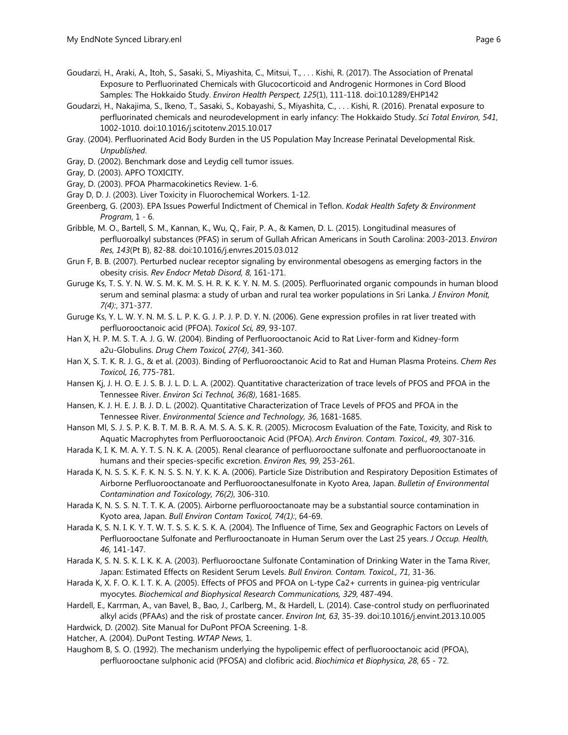- Goudarzi, H., Araki, A., Itoh, S., Sasaki, S., Miyashita, C., Mitsui, T., . . . Kishi, R. (2017). The Association of Prenatal Exposure to Perfluorinated Chemicals with Glucocorticoid and Androgenic Hormones in Cord Blood Samples: The Hokkaido Study. *Environ Health Perspect, 125*(1), 111-118. doi:10.1289/EHP142
- Goudarzi, H., Nakajima, S., Ikeno, T., Sasaki, S., Kobayashi, S., Miyashita, C., . . . Kishi, R. (2016). Prenatal exposure to perfluorinated chemicals and neurodevelopment in early infancy: The Hokkaido Study. *Sci Total Environ, 541*, 1002-1010. doi:10.1016/j.scitotenv.2015.10.017
- Gray. (2004). Perfluorinated Acid Body Burden in the US Population May Increase Perinatal Developmental Risk. *Unpublished*.
- Gray, D. (2002). Benchmark dose and Leydig cell tumor issues.
- Gray, D. (2003). APFO TOXICITY.
- Gray, D. (2003). PFOA Pharmacokinetics Review. 1-6.
- Gray D, D. J. (2003). Liver Toxicity in Fluorochemical Workers. 1-12.
- Greenberg, G. (2003). EPA Issues Powerful Indictment of Chemical in Teflon. *Kodak Health Safety & Environment Program*, 1 - 6.
- Gribble, M. O., Bartell, S. M., Kannan, K., Wu, Q., Fair, P. A., & Kamen, D. L. (2015). Longitudinal measures of perfluoroalkyl substances (PFAS) in serum of Gullah African Americans in South Carolina: 2003-2013. *Environ Res, 143*(Pt B), 82-88. doi:10.1016/j.envres.2015.03.012
- Grun F, B. B. (2007). Perturbed nuclear receptor signaling by environmental obesogens as emerging factors in the obesity crisis. *Rev Endocr Metab Disord, 8*, 161-171.
- Guruge Ks, T. S. Y. N. W. S. M. K. M. S. H. R. K. K. Y. N. M. S. (2005). Perfluorinated organic compounds in human blood serum and seminal plasma: a study of urban and rural tea worker populations in Sri Lanka. *J Environ Monit, 7(4):*, 371-377.
- Guruge Ks, Y. L. W. Y. N. M. S. L. P. K. G. J. P. J. P. D. Y. N. (2006). Gene expression profiles in rat liver treated with perfluorooctanoic acid (PFOA). *Toxicol Sci, 89*, 93-107.
- Han X, H. P. M. S. T. A. J. G. W. (2004). Binding of Perfluorooctanoic Acid to Rat Liver-form and Kidney-form a2u-Globulins. *Drug Chem Toxicol, 27(4)*, 341-360.
- Han X, S. T. K. R. J. G., & et al. (2003). Binding of Perfluorooctanoic Acid to Rat and Human Plasma Proteins. *Chem Res Toxicol, 16*, 775-781.
- Hansen Kj, J. H. O. E. J. S. B. J. L. D. L. A. (2002). Quantitative characterization of trace levels of PFOS and PFOA in the Tennessee River. *Environ Sci Technol, 36(8)*, 1681-1685.
- Hansen, K. J. H. E. J. B. J. D. L. (2002). Quantitative Characterization of Trace Levels of PFOS and PFOA in the Tennessee River. *Environmental Science and Technology, 36*, 1681-1685.
- Hanson Ml, S. J. S. P. K. B. T. M. B. R. A. M. S. A. S. K. R. (2005). Microcosm Evaluation of the Fate, Toxicity, and Risk to Aquatic Macrophytes from Perfluorooctanoic Acid (PFOA). *Arch Environ. Contam. Toxicol., 49*, 307-316.
- Harada K, I. K. M. A. Y. T. S. N. K. A. (2005). Renal clearance of perfluorooctane sulfonate and perfluorooctanoate in humans and their species-specific excretion. *Environ Res, 99*, 253-261.
- Harada K, N. S. S. K. F. K. N. S. S. N. Y. K. K. A. (2006). Particle Size Distribution and Respiratory Deposition Estimates of Airborne Perfluorooctanoate and Perfluorooctanesulfonate in Kyoto Area, Japan. *Bulletin of Environmental Contamination and Toxicology, 76(2)*, 306-310.
- Harada K, N. S. S. N. T. T. K. A. (2005). Airborne perfluorooctanoate may be a substantial source contamination in Kyoto area, Japan. *Bull Environ Contam Toxicol, 74(1):*, 64-69.
- Harada K, S. N. I. K. Y. T. W. T. S. S. K. S. K. A. (2004). The Influence of Time, Sex and Geographic Factors on Levels of Perfluorooctane Sulfonate and Perflurooctanoate in Human Serum over the Last 25 years. *J Occup. Health, 46*, 141-147.
- Harada K, S. N. S. K. I. K. K. A. (2003). Perfluorooctane Sulfonate Contamination of Drinking Water in the Tama River, Japan: Estimated Effects on Resident Serum Levels. *Bull Environ. Contam. Toxicol., 71*, 31-36.
- Harada K, X. F. O. K. I. T. K. A. (2005). Effects of PFOS and PFOA on L-type Ca2+ currents in guinea-pig ventricular myocytes. *Biochemical and Biophysical Research Communications, 329*, 487-494.
- Hardell, E., Karrman, A., van Bavel, B., Bao, J., Carlberg, M., & Hardell, L. (2014). Case-control study on perfluorinated alkyl acids (PFAAs) and the risk of prostate cancer. *Environ Int, 63*, 35-39. doi:10.1016/j.envint.2013.10.005
- Hardwick, D. (2002). Site Manual for DuPont PFOA Screening. 1-8.

Hatcher, A. (2004). DuPont Testing. *WTAP News*, 1.

Haughom B, S. O. (1992). The mechanism underlying the hypolipemic effect of perfluorooctanoic acid (PFOA), perfluorooctane sulphonic acid (PFOSA) and clofibric acid. *Biochimica et Biophysica, 28*, 65 - 72.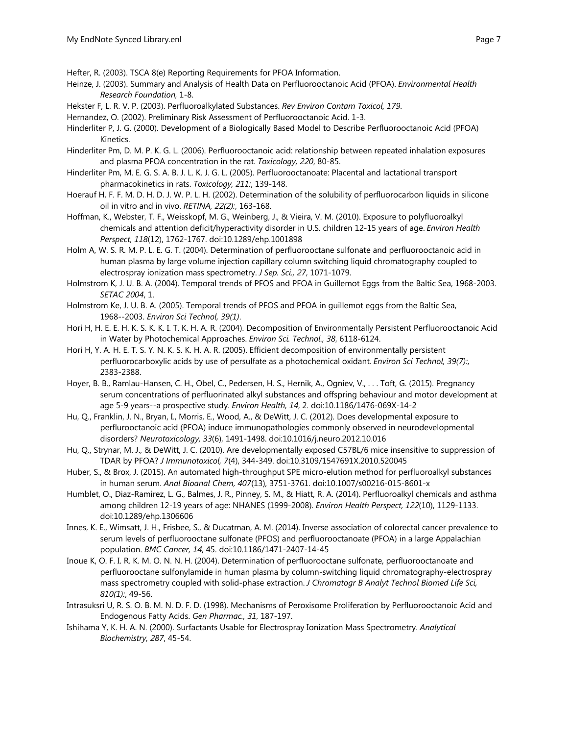- Hefter, R. (2003). TSCA 8(e) Reporting Requirements for PFOA Information.
- Heinze, J. (2003). Summary and Analysis of Health Data on Perfluorooctanoic Acid (PFOA). *Environmental Health Research Foundation*, 1-8.
- Hekster F, L. R. V. P. (2003). Perfluoroalkylated Substances. *Rev Environ Contam Toxicol, 179*.
- Hernandez, O. (2002). Preliminary Risk Assessment of Perfluorooctanoic Acid. 1-3.
- Hinderliter P, J. G. (2000). Development of a Biologically Based Model to Describe Perfluorooctanoic Acid (PFOA) Kinetics.
- Hinderliter Pm, D. M. P. K. G. L. (2006). Perfluorooctanoic acid: relationship between repeated inhalation exposures and plasma PFOA concentration in the rat. *Toxicology, 220*, 80-85.
- Hinderliter Pm, M. E. G. S. A. B. J. L. K. J. G. L. (2005). Perfluorooctanoate: Placental and lactational transport pharmacokinetics in rats. *Toxicology, 211:*, 139-148.
- Hoerauf H, F. F. M. D. H. D. J. W. P. L. H. (2002). Determination of the solubility of perfluorocarbon liquids in silicone oil in vitro and in vivo. *RETINA, 22(2):*, 163-168.
- Hoffman, K., Webster, T. F., Weisskopf, M. G., Weinberg, J., & Vieira, V. M. (2010). Exposure to polyfluoroalkyl chemicals and attention deficit/hyperactivity disorder in U.S. children 12-15 years of age. *Environ Health Perspect, 118*(12), 1762-1767. doi:10.1289/ehp.1001898
- Holm A, W. S. R. M. P. L. E. G. T. (2004). Determination of perfluorooctane sulfonate and perfluorooctanoic acid in human plasma by large volume injection capillary column switching liquid chromatography coupled to electrospray ionization mass spectrometry. *J Sep. Sci., 27*, 1071-1079.
- Holmstrom K, J. U. B. A. (2004). Temporal trends of PFOS and PFOA in Guillemot Eggs from the Baltic Sea, 1968-2003. *SETAC 2004*, 1.
- Holmstrom Ke, J. U. B. A. (2005). Temporal trends of PFOS and PFOA in guillemot eggs from the Baltic Sea, 1968--2003. *Environ Sci Technol, 39(1)*.
- Hori H, H. E. E. H. K. S. K. K. I. T. K. H. A. R. (2004). Decomposition of Environmentally Persistent Perfluorooctanoic Acid in Water by Photochemical Approaches. *Environ Sci. Technol., 38*, 6118-6124.
- Hori H, Y. A. H. E. T. S. Y. N. K. S. K. H. A. R. (2005). Efficient decomposition of environmentally persistent perfluorocarboxylic acids by use of persulfate as a photochemical oxidant. *Environ Sci Technol, 39(7):*, 2383-2388.
- Hoyer, B. B., Ramlau-Hansen, C. H., Obel, C., Pedersen, H. S., Hernik, A., Ogniev, V., . . . Toft, G. (2015). Pregnancy serum concentrations of perfluorinated alkyl substances and offspring behaviour and motor development at age 5-9 years--a prospective study. *Environ Health, 14*, 2. doi:10.1186/1476-069X-14-2
- Hu, Q., Franklin, J. N., Bryan, I., Morris, E., Wood, A., & DeWitt, J. C. (2012). Does developmental exposure to perflurooctanoic acid (PFOA) induce immunopathologies commonly observed in neurodevelopmental disorders? *Neurotoxicology, 33*(6), 1491-1498. doi:10.1016/j.neuro.2012.10.016
- Hu, Q., Strynar, M. J., & DeWitt, J. C. (2010). Are developmentally exposed C57BL/6 mice insensitive to suppression of TDAR by PFOA? *J Immunotoxicol, 7*(4), 344-349. doi:10.3109/1547691X.2010.520045
- Huber, S., & Brox, J. (2015). An automated high-throughput SPE micro-elution method for perfluoroalkyl substances in human serum. *Anal Bioanal Chem, 407*(13), 3751-3761. doi:10.1007/s00216-015-8601-x
- Humblet, O., Diaz-Ramirez, L. G., Balmes, J. R., Pinney, S. M., & Hiatt, R. A. (2014). Perfluoroalkyl chemicals and asthma among children 12-19 years of age: NHANES (1999-2008). *Environ Health Perspect, 122*(10), 1129-1133. doi:10.1289/ehp.1306606
- Innes, K. E., Wimsatt, J. H., Frisbee, S., & Ducatman, A. M. (2014). Inverse association of colorectal cancer prevalence to serum levels of perfluorooctane sulfonate (PFOS) and perfluorooctanoate (PFOA) in a large Appalachian population. *BMC Cancer, 14*, 45. doi:10.1186/1471-2407-14-45
- Inoue K, O. F. I. R. K. M. O. N. N. H. (2004). Determination of perfluorooctane sulfonate, perfluorooctanoate and perfluorooctane sulfonylamide in human plasma by column-switching liquid chromatography-electrospray mass spectrometry coupled with solid-phase extraction. *J Chromatogr B Analyt Technol Biomed Life Sci, 810(1):*, 49-56.
- Intrasuksri U, R. S. O. B. M. N. D. F. D. (1998). Mechanisms of Peroxisome Proliferation by Perfluorooctanoic Acid and Endogenous Fatty Acids. *Gen Pharmac., 31*, 187-197.
- Ishihama Y, K. H. A. N. (2000). Surfactants Usable for Electrospray Ionization Mass Spectrometry. *Analytical Biochemistry, 287*, 45-54.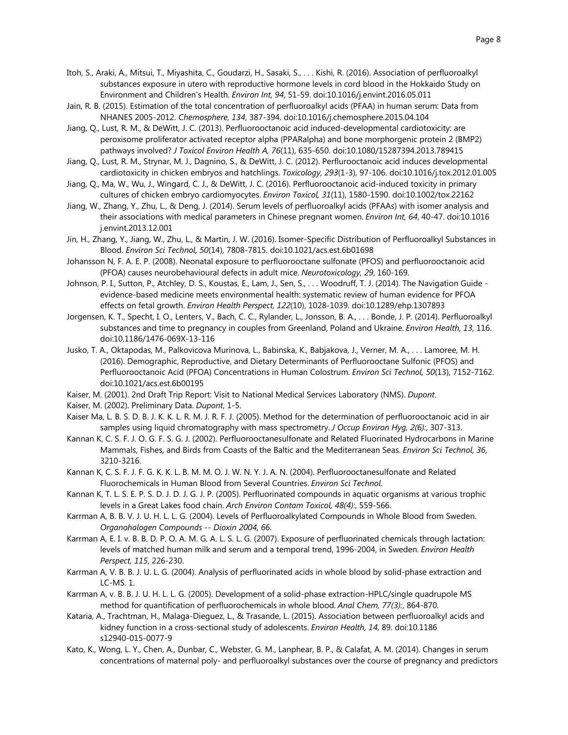- Itoh, S., Araki, A., Mitsui, T., Miyashita, C., Goudarzi, H., Sasaki, S., . . . Kishi, R. (2016). Association of perfluoroalkyl substances exposure in utero with reproductive hormone levels in cord blood in the Hokkaido Study on Environment and Children's Health. *Environ Int, 94*, 51-59. doi:10.1016/j.envint.2016.05.011
- Jain, R. B. (2015). Estimation of the total concentration of perfluoroalkyl acids (PFAA) in human serum: Data from NHANES 2005-2012. *Chemosphere, 134*, 387-394. doi:10.1016/j.chemosphere.2015.04.104
- Jiang, Q., Lust, R. M., & DeWitt, J. C. (2013). Perfluorooctanoic acid induced-developmental cardiotoxicity: are peroxisome proliferator activated receptor alpha (PPARalpha) and bone morphorgenic protein 2 (BMP2) pathways involved? *J Toxicol Environ Health A, 76*(11), 635-650. doi:10.1080/15287394.2013.789415
- Jiang, Q., Lust, R. M., Strynar, M. J., Dagnino, S., & DeWitt, J. C. (2012). Perflurooctanoic acid induces developmental cardiotoxicity in chicken embryos and hatchlings. *Toxicology, 293*(1-3), 97-106. doi:10.1016/j.tox.2012.01.005
- Jiang, Q., Ma, W., Wu, J., Wingard, C. J., & DeWitt, J. C. (2016). Perfluorooctanoic acid-induced toxicity in primary cultures of chicken embryo cardiomyocytes. *Environ Toxicol, 31*(11), 1580-1590. doi:10.1002/tox.22162
- Jiang, W., Zhang, Y., Zhu, L., & Deng, J. (2014). Serum levels of perfluoroalkyl acids (PFAAs) with isomer analysis and their associations with medical parameters in Chinese pregnant women. *Environ Int, 64*, 40-47. doi:10.1016 j.envint.2013.12.001
- Jin, H., Zhang, Y., Jiang, W., Zhu, L., & Martin, J. W. (2016). Isomer-Specific Distribution of Perfluoroalkyl Substances in Blood. *Environ Sci Technol, 50*(14), 7808-7815. doi:10.1021/acs.est.6b01698
- Johansson N, F. A. E. P. (2008). Neonatal exposure to perfluorooctane sulfonate (PFOS) and perfluorooctanoic acid (PFOA) causes neurobehavioural defects in adult mice. *Neurotoxicology, 29*, 160-169.
- Johnson, P. I., Sutton, P., Atchley, D. S., Koustas, E., Lam, J., Sen, S., . . Woodruff, T. J. (2014). The Navigation Guide evidence-based medicine meets environmental health: systematic review of human evidence for PFOA effects on fetal growth. *Environ Health Perspect, 122*(10), 1028-1039. doi:10.1289/ehp.1307893
- Jorgensen, K. T., Specht, I. O., Lenters, V., Bach, C. C., Rylander, L., Jonsson, B. A., . . . Bonde, J. P. (2014). Perfluoroalkyl substances and time to pregnancy in couples from Greenland, Poland and Ukraine. *Environ Health, 13*, 116. doi:10.1186/1476-069X-13-116
- Jusko, T. A., Oktapodas, M., Palkovicova Murinova, L., Babinska, K., Babjakova, J., Verner, M. A., . . . Lamoree, M. H. (2016). Demographic, Reproductive, and Dietary Determinants of Perfluorooctane Sulfonic (PFOS) and Perfluorooctanoic Acid (PFOA) Concentrations in Human Colostrum. *Environ Sci Technol, 50*(13), 7152-7162. doi:10.1021/acs.est.6b00195
- Kaiser, M. (2001). 2nd Draft Trip Report: Visit to National Medical Services Laboratory (NMS). *Dupont*.
- Kaiser, M. (2002). Preliminary Data. *Dupont*, 1-5.
- Kaiser Ma, L. B. S. D. B. J. K. K. L. R. M. J. R. F. J. (2005). Method for the determination of perfluorooctanoic acid in air samples using liquid chromatography with mass spectrometry. *J Occup Environ Hyg, 2(6):*, 307-313.
- Kannan K, C. S. F. J. O. G. F. S. G. J. (2002). Perfluorooctanesulfonate and Related Fluorinated Hydrocarbons in Marine Mammals, Fishes, and Birds from Coasts of the Baltic and the Mediterranean Seas. *Environ Sci Technol, 36*, 3210-3216.
- Kannan K, C. S. F. J. F. G. K. K. L. B. M. M. O. J. W. N. Y. J. A. N. (2004). Perfluorooctanesulfonate and Related Fluorochemicals in Human Blood from Several Countries. *Environ Sci Technol*.
- Kannan K, T. L. S. E. P. S. D. J. D. J. G. J. P. (2005). Perfluorinated compounds in aquatic organisms at various trophic levels in a Great Lakes food chain. *Arch Environ Contam Toxicol, 48(4):*, 559-566.
- Karrman A, B. B. V. J. U. H. L. L. G. (2004). Levels of Perfluoroalkylated Compounds in Whole Blood from Sweden. *Organohalogen Compounds -- Dioxin 2004, 66*.
- Karrman A, E. I. v. B. B. D. P. O. A. M. G. A. L. S. L. G. (2007). Exposure of perfluorinated chemicals through lactation: levels of matched human milk and serum and a temporal trend, 1996-2004, in Sweden. *Environ Health Perspect, 115*, 226-230.
- Karrman A, V. B. B. J. U. L. G. (2004). Analysis of perfluorinated acids in whole blood by solid-phase extraction and LC-MS. 1.
- Karrman A, v. B. B. J. U. H. L. L. G. (2005). Development of a solid-phase extraction-HPLC/single quadrupole MS method for quantification of perfluorochemicals in whole blood. *Anal Chem, 77(3):*, 864-870.
- Kataria, A., Trachtman, H., Malaga-Dieguez, L., & Trasande, L. (2015). Association between perfluoroalkyl acids and kidney function in a cross-sectional study of adolescents. *Environ Health, 14*, 89. doi:10.1186 s12940-015-0077-9
- Kato, K., Wong, L. Y., Chen, A., Dunbar, C., Webster, G. M., Lanphear, B. P., & Calafat, A. M. (2014). Changes in serum concentrations of maternal poly- and perfluoroalkyl substances over the course of pregnancy and predictors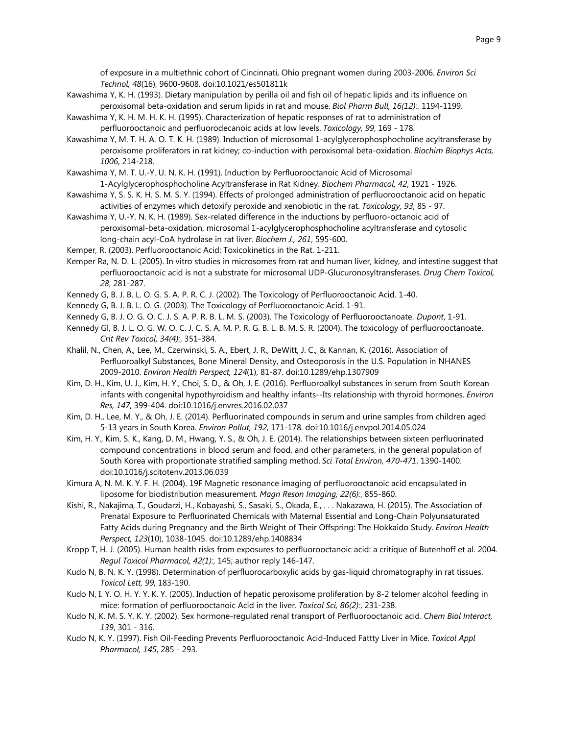of exposure in a multiethnic cohort of Cincinnati, Ohio pregnant women during 2003-2006. *Environ Sci Technol, 48*(16), 9600-9608. doi:10.1021/es501811k

- Kawashima Y, K. H. (1993). Dietary manipulation by perilla oil and fish oil of hepatic lipids and its influence on peroxisomal beta-oxidation and serum lipids in rat and mouse. *Biol Pharm Bull, 16(12):*, 1194-1199.
- Kawashima Y, K. H. M. H. K. H. (1995). Characterization of hepatic responses of rat to administration of perfluorooctanoic and perfluorodecanoic acids at low levels. *Toxicology, 99*, 169 - 178.
- Kawashima Y, M. T. H. A. O. T. K. H. (1989). Induction of microsomal 1-acylglycerophosphocholine acyltransferase by peroxisome proliferators in rat kidney; co-induction with peroxisomal beta-oxidation. *Biochim Biophys Acta, 1006*, 214-218.
- Kawashima Y, M. T. U.-Y. U. N. K. H. (1991). Induction by Perfluorooctanoic Acid of Microsomal 1-Acylglycerophosphocholine Acyltransferase in Rat Kidney. *Biochem Pharmacol, 42*, 1921 - 1926.
- Kawashima Y, S. S. K. H. S. M. S. Y. (1994). Effects of prolonged administration of perfluorooctanoic acid on hepatic activities of enzymes which detoxify peroxide and xenobiotic in the rat. *Toxicology, 93*, 85 - 97.
- Kawashima Y, U.-Y. N. K. H. (1989). Sex-related difference in the inductions by perfluoro-octanoic acid of peroxisomal-beta-oxidation, microsomal 1-acylglycerophosphocholine acyltransferase and cytosolic long-chain acyl-CoA hydrolase in rat liver. *Biochem J., 261*, 595-600.
- Kemper, R. (2003). Perfluorooctanoic Acid: Toxicokinetics in the Rat. 1-211.
- Kemper Ra, N. D. L. (2005). In vitro studies in microsomes from rat and human liver, kidney, and intestine suggest that perfluorooctanoic acid is not a substrate for microsomal UDP-Glucuronosyltransferases. *Drug Chem Toxicol, 28*, 281-287.
- Kennedy G, B. J. B. L. O. G. S. A. P. R. C. J. (2002). The Toxicology of Perfluorooctanoic Acid. 1-40.
- Kennedy G, B. J. B. L. O. G. (2003). The Toxicology of Perfluorooctanoic Acid. 1-91.
- Kennedy G, B. J. O. G. O. C. J. S. A. P. R. B. L. M. S. (2003). The Toxicology of Perfluorooctanoate. *Dupont*, 1-91.
- Kennedy Gl, B. J. L. O. G. W. O. C. J. C. S. A. M. P. R. G. B. L. B. M. S. R. (2004). The toxicology of perfluorooctanoate. *Crit Rev Toxicol, 34(4):*, 351-384.
- Khalil, N., Chen, A., Lee, M., Czerwinski, S. A., Ebert, J. R., DeWitt, J. C., & Kannan, K. (2016). Association of Perfluoroalkyl Substances, Bone Mineral Density, and Osteoporosis in the U.S. Population in NHANES 2009-2010. *Environ Health Perspect, 124*(1), 81-87. doi:10.1289/ehp.1307909
- Kim, D. H., Kim, U. J., Kim, H. Y., Choi, S. D., & Oh, J. E. (2016). Perfluoroalkyl substances in serum from South Korean infants with congenital hypothyroidism and healthy infants--Its relationship with thyroid hormones. *Environ Res, 147*, 399-404. doi:10.1016/j.envres.2016.02.037
- Kim, D. H., Lee, M. Y., & Oh, J. E. (2014). Perfluorinated compounds in serum and urine samples from children aged 5-13 years in South Korea. *Environ Pollut, 192*, 171-178. doi:10.1016/j.envpol.2014.05.024
- Kim, H. Y., Kim, S. K., Kang, D. M., Hwang, Y. S., & Oh, J. E. (2014). The relationships between sixteen perfluorinated compound concentrations in blood serum and food, and other parameters, in the general population of South Korea with proportionate stratified sampling method. *Sci Total Environ, 470-471*, 1390-1400. doi:10.1016/j.scitotenv.2013.06.039
- Kimura A, N. M. K. Y. F. H. (2004). 19F Magnetic resonance imaging of perfluorooctanoic acid encapsulated in liposome for biodistribution measurement. *Magn Reson Imaging, 22(6):*, 855-860.
- Kishi, R., Nakajima, T., Goudarzi, H., Kobayashi, S., Sasaki, S., Okada, E., . . . Nakazawa, H. (2015). The Association of Prenatal Exposure to Perfluorinated Chemicals with Maternal Essential and Long-Chain Polyunsaturated Fatty Acids during Pregnancy and the Birth Weight of Their Offspring: The Hokkaido Study. *Environ Health Perspect, 123*(10), 1038-1045. doi:10.1289/ehp.1408834
- Kropp T, H. J. (2005). Human health risks from exposures to perfluorooctanoic acid: a critique of Butenhoff et al. 2004. *Regul Toxicol Pharmacol, 42(1):*, 145; author reply 146-147.
- Kudo N, B. N. K. Y. (1998). Determination of perfluorocarboxylic acids by gas-liquid chromatography in rat tissues. *Toxicol Lett, 99*, 183-190.
- Kudo N, I. Y. O. H. Y. Y. K. Y. (2005). Induction of hepatic peroxisome proliferation by 8-2 telomer alcohol feeding in mice: formation of perfluorooctanoic Acid in the liver. *Toxicol Sci, 86(2):*, 231-238.
- Kudo N, K. M. S. Y. K. Y. (2002). Sex hormone-regulated renal transport of Perfluorooctanoic acid. *Chem Biol Interact, 139*, 301 - 316.
- Kudo N, K. Y. (1997). Fish Oil-Feeding Prevents Perfluorooctanoic Acid-Induced Fattty Liver in Mice. *Toxicol Appl Pharmacol, 145*, 285 - 293.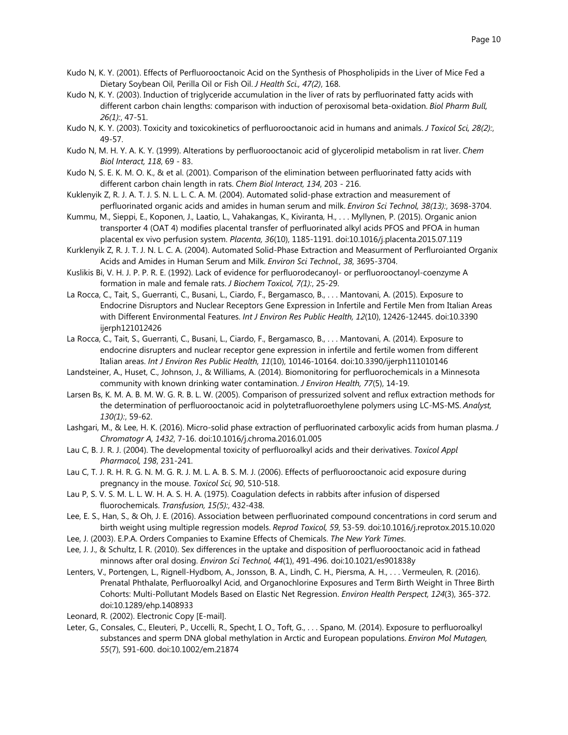- Kudo N, K. Y. (2001). Effects of Perfluorooctanoic Acid on the Synthesis of Phospholipids in the Liver of Mice Fed a Dietary Soybean Oil, Perilla Oil or Fish Oil. *J Health Sci., 47(2)*, 168.
- Kudo N, K. Y. (2003). Induction of triglyceride accumulation in the liver of rats by perfluorinated fatty acids with different carbon chain lengths: comparison with induction of peroxisomal beta-oxidation. *Biol Pharm Bull, 26(1):*, 47-51.
- Kudo N, K. Y. (2003). Toxicity and toxicokinetics of perfluorooctanoic acid in humans and animals. *J Toxicol Sci, 28(2):*, 49-57.
- Kudo N, M. H. Y. A. K. Y. (1999). Alterations by perfluorooctanoic acid of glycerolipid metabolism in rat liver. *Chem Biol Interact, 118*, 69 - 83.
- Kudo N, S. E. K. M. O. K., & et al. (2001). Comparison of the elimination between perfluorinated fatty acids with different carbon chain length in rats. *Chem Biol Interact, 134*, 203 - 216.
- Kuklenyik Z, R. J. A. T. J. S. N. L. L. C. A. M. (2004). Automated solid-phase extraction and measurement of perfluorinated organic acids and amides in human serum and milk. *Environ Sci Technol, 38(13):*, 3698-3704.
- Kummu, M., Sieppi, E., Koponen, J., Laatio, L., Vahakangas, K., Kiviranta, H., . . . Myllynen, P. (2015). Organic anion transporter 4 (OAT 4) modifies placental transfer of perfluorinated alkyl acids PFOS and PFOA in human placental ex vivo perfusion system. *Placenta, 36*(10), 1185-1191. doi:10.1016/j.placenta.2015.07.119
- Kurklenyik Z, R. J. T. J. N. L. C. A. (2004). Automated Solid-Phase Extraction and Measurment of Perfluroianted Organix Acids and Amides in Human Serum and Milk. *Environ Sci Technol., 38*, 3695-3704.
- Kuslikis Bi, V. H. J. P. P. R. E. (1992). Lack of evidence for perfluorodecanoyl- or perfluorooctanoyl-coenzyme A formation in male and female rats. *J Biochem Toxicol, 7(1):*, 25-29.
- La Rocca, C., Tait, S., Guerranti, C., Busani, L., Ciardo, F., Bergamasco, B., . . . Mantovani, A. (2015). Exposure to Endocrine Disruptors and Nuclear Receptors Gene Expression in Infertile and Fertile Men from Italian Areas with Different Environmental Features. *Int J Environ Res Public Health, 12*(10), 12426-12445. doi:10.3390 ijerph121012426
- La Rocca, C., Tait, S., Guerranti, C., Busani, L., Ciardo, F., Bergamasco, B., . . . Mantovani, A. (2014). Exposure to endocrine disrupters and nuclear receptor gene expression in infertile and fertile women from different Italian areas. *Int J Environ Res Public Health, 11*(10), 10146-10164. doi:10.3390/ijerph111010146
- Landsteiner, A., Huset, C., Johnson, J., & Williams, A. (2014). Biomonitoring for perfluorochemicals in a Minnesota community with known drinking water contamination. *J Environ Health, 77*(5), 14-19.
- Larsen Bs, K. M. A. B. M. W. G. R. B. L. W. (2005). Comparison of pressurized solvent and reflux extraction methods for the determination of perfluorooctanoic acid in polytetrafluoroethylene polymers using LC-MS-MS. *Analyst, 130(1):*, 59-62.
- Lashgari, M., & Lee, H. K. (2016). Micro-solid phase extraction of perfluorinated carboxylic acids from human plasma. *J Chromatogr A, 1432*, 7-16. doi:10.1016/j.chroma.2016.01.005
- Lau C, B. J. R. J. (2004). The developmental toxicity of perfluoroalkyl acids and their derivatives. *Toxicol Appl Pharmacol, 198*, 231-241.
- Lau C, T. J. R. H. R. G. N. M. G. R. J. M. L. A. B. S. M. J. (2006). Effects of perfluorooctanoic acid exposure during pregnancy in the mouse. *Toxicol Sci, 90*, 510-518.
- Lau P, S. V. S. M. L. L. W. H. A. S. H. A. (1975). Coagulation defects in rabbits after infusion of dispersed fluorochemicals. *Transfusion, 15(5):*, 432-438.
- Lee, E. S., Han, S., & Oh, J. E. (2016). Association between perfluorinated compound concentrations in cord serum and birth weight using multiple regression models. *Reprod Toxicol, 59*, 53-59. doi:10.1016/j.reprotox.2015.10.020
- Lee, J. (2003). E.P.A. Orders Companies to Examine Effects of Chemicals. *The New York Times*.
- Lee, J. J., & Schultz, I. R. (2010). Sex differences in the uptake and disposition of perfluorooctanoic acid in fathead minnows after oral dosing. *Environ Sci Technol, 44*(1), 491-496. doi:10.1021/es901838y
- Lenters, V., Portengen, L., Rignell-Hydbom, A., Jonsson, B. A., Lindh, C. H., Piersma, A. H., . . . Vermeulen, R. (2016). Prenatal Phthalate, Perfluoroalkyl Acid, and Organochlorine Exposures and Term Birth Weight in Three Birth Cohorts: Multi-Pollutant Models Based on Elastic Net Regression. *Environ Health Perspect, 124*(3), 365-372. doi:10.1289/ehp.1408933
- Leonard, R. (2002). Electronic Copy [E-mail].
- Leter, G., Consales, C., Eleuteri, P., Uccelli, R., Specht, I. O., Toft, G., . . . Spano, M. (2014). Exposure to perfluoroalkyl substances and sperm DNA global methylation in Arctic and European populations. *Environ Mol Mutagen, 55*(7), 591-600. doi:10.1002/em.21874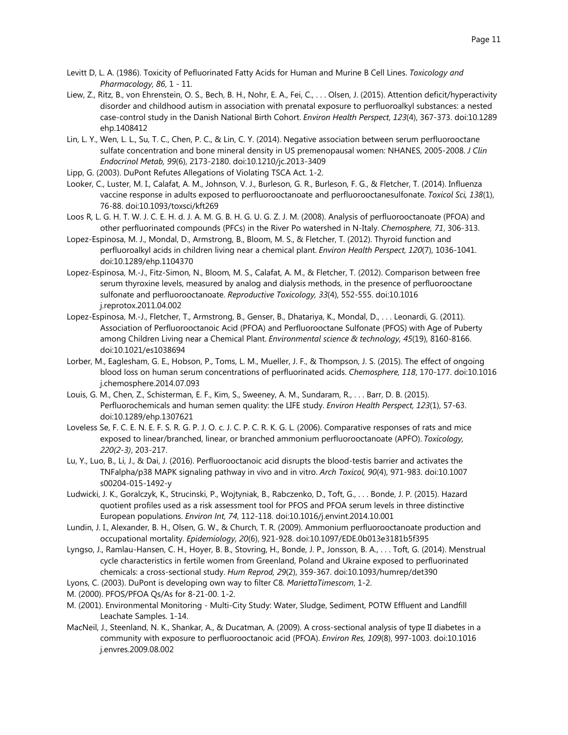- Liew, Z., Ritz, B., von Ehrenstein, O. S., Bech, B. H., Nohr, E. A., Fei, C., . . . Olsen, J. (2015). Attention deficit/hyperactivity disorder and childhood autism in association with prenatal exposure to perfluoroalkyl substances: a nested case-control study in the Danish National Birth Cohort. *Environ Health Perspect, 123*(4), 367-373. doi:10.1289 ehp.1408412
- Lin, L. Y., Wen, L. L., Su, T. C., Chen, P. C., & Lin, C. Y. (2014). Negative association between serum perfluorooctane sulfate concentration and bone mineral density in US premenopausal women: NHANES, 2005-2008. *J Clin Endocrinol Metab, 99*(6), 2173-2180. doi:10.1210/jc.2013-3409
- Lipp, G. (2003). DuPont Refutes Allegations of Violating TSCA Act. 1-2.
- Looker, C., Luster, M. I., Calafat, A. M., Johnson, V. J., Burleson, G. R., Burleson, F. G., & Fletcher, T. (2014). Influenza vaccine response in adults exposed to perfluorooctanoate and perfluorooctanesulfonate. *Toxicol Sci, 138*(1), 76-88. doi:10.1093/toxsci/kft269
- Loos R, L. G. H. T. W. J. C. E. H. d. J. A. M. G. B. H. G. U. G. Z. J. M. (2008). Analysis of perfluorooctanoate (PFOA) and other perfluorinated compounds (PFCs) in the River Po watershed in N-Italy. *Chemosphere, 71*, 306-313.
- Lopez-Espinosa, M. J., Mondal, D., Armstrong, B., Bloom, M. S., & Fletcher, T. (2012). Thyroid function and perfluoroalkyl acids in children living near a chemical plant. *Environ Health Perspect, 120*(7), 1036-1041. doi:10.1289/ehp.1104370
- Lopez-Espinosa, M.-J., Fitz-Simon, N., Bloom, M. S., Calafat, A. M., & Fletcher, T. (2012). Comparison between free serum thyroxine levels, measured by analog and dialysis methods, in the presence of perfluorooctane sulfonate and perfluorooctanoate. *Reproductive Toxicology, 33*(4), 552-555. doi:10.1016 j.reprotox.2011.04.002
- Lopez-Espinosa, M.-J., Fletcher, T., Armstrong, B., Genser, B., Dhatariya, K., Mondal, D., . . . Leonardi, G. (2011). Association of Perfluorooctanoic Acid (PFOA) and Perfluorooctane Sulfonate (PFOS) with Age of Puberty among Children Living near a Chemical Plant. *Environmental science & technology, 45*(19), 8160-8166. doi:10.1021/es1038694
- Lorber, M., Eaglesham, G. E., Hobson, P., Toms, L. M., Mueller, J. F., & Thompson, J. S. (2015). The effect of ongoing blood loss on human serum concentrations of perfluorinated acids. *Chemosphere, 118*, 170-177. doi:10.1016 j.chemosphere.2014.07.093
- Louis, G. M., Chen, Z., Schisterman, E. F., Kim, S., Sweeney, A. M., Sundaram, R., . . . Barr, D. B. (2015). Perfluorochemicals and human semen quality: the LIFE study. *Environ Health Perspect, 123*(1), 57-63. doi:10.1289/ehp.1307621
- Loveless Se, F. C. E. N. E. F. S. R. G. P. J. O. c. J. C. P. C. R. K. G. L. (2006). Comparative responses of rats and mice exposed to linear/branched, linear, or branched ammonium perfluorooctanoate (APFO). *Toxicology, 220(2-3)*, 203-217.
- Lu, Y., Luo, B., Li, J., & Dai, J. (2016). Perfluorooctanoic acid disrupts the blood-testis barrier and activates the TNFalpha/p38 MAPK signaling pathway in vivo and in vitro. *Arch Toxicol, 90*(4), 971-983. doi:10.1007 s00204-015-1492-y
- Ludwicki, J. K., Goralczyk, K., Strucinski, P., Wojtyniak, B., Rabczenko, D., Toft, G., . . . Bonde, J. P. (2015). Hazard quotient profiles used as a risk assessment tool for PFOS and PFOA serum levels in three distinctive European populations. *Environ Int, 74*, 112-118. doi:10.1016/j.envint.2014.10.001
- Lundin, J. I., Alexander, B. H., Olsen, G. W., & Church, T. R. (2009). Ammonium perfluorooctanoate production and occupational mortality. *Epidemiology, 20*(6), 921-928. doi:10.1097/EDE.0b013e3181b5f395
- Lyngso, J., Ramlau-Hansen, C. H., Hoyer, B. B., Stovring, H., Bonde, J. P., Jonsson, B. A., . . . Toft, G. (2014). Menstrual cycle characteristics in fertile women from Greenland, Poland and Ukraine exposed to perfluorinated chemicals: a cross-sectional study. *Hum Reprod, 29*(2), 359-367. doi:10.1093/humrep/det390
- Lyons, C. (2003). DuPont is developing own way to filter C8. *MariettaTimescom*, 1-2.
- M. (2000). PFOS/PFOA Qs/As for 8-21-00. 1-2.
- M. (2001). Environmental Monitoring Multi-City Study: Water, Sludge, Sediment, POTW Effluent and Landfill Leachate Samples. 1-14.
- MacNeil, J., Steenland, N. K., Shankar, A., & Ducatman, A. (2009). A cross-sectional analysis of type II diabetes in a community with exposure to perfluorooctanoic acid (PFOA). *Environ Res, 109*(8), 997-1003. doi:10.1016 j.envres.2009.08.002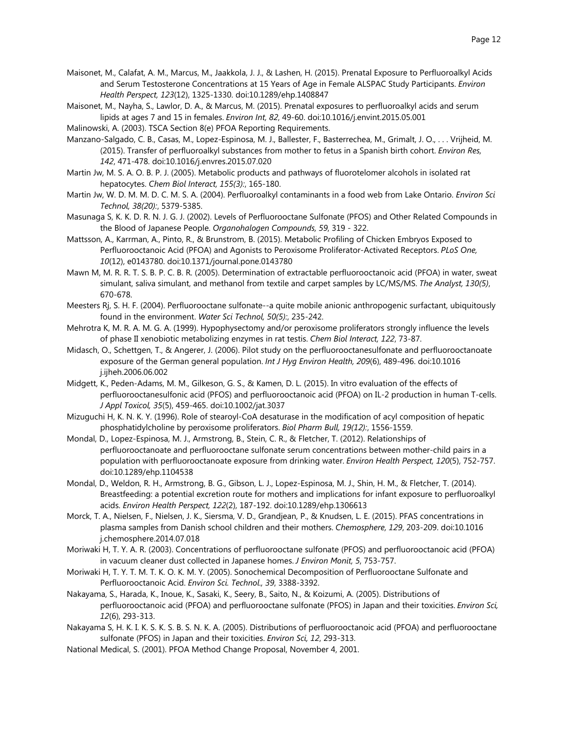- Maisonet, M., Calafat, A. M., Marcus, M., Jaakkola, J. J., & Lashen, H. (2015). Prenatal Exposure to Perfluoroalkyl Acids and Serum Testosterone Concentrations at 15 Years of Age in Female ALSPAC Study Participants. *Environ Health Perspect, 123*(12), 1325-1330. doi:10.1289/ehp.1408847
- Maisonet, M., Nayha, S., Lawlor, D. A., & Marcus, M. (2015). Prenatal exposures to perfluoroalkyl acids and serum lipids at ages 7 and 15 in females. *Environ Int, 82*, 49-60. doi:10.1016/j.envint.2015.05.001
- Malinowski, A. (2003). TSCA Section 8(e) PFOA Reporting Requirements.
- Manzano-Salgado, C. B., Casas, M., Lopez-Espinosa, M. J., Ballester, F., Basterrechea, M., Grimalt, J. O., . . . Vrijheid, M. (2015). Transfer of perfluoroalkyl substances from mother to fetus in a Spanish birth cohort. *Environ Res, 142*, 471-478. doi:10.1016/j.envres.2015.07.020
- Martin Jw, M. S. A. O. B. P. J. (2005). Metabolic products and pathways of fluorotelomer alcohols in isolated rat hepatocytes. *Chem Biol Interact, 155(3):*, 165-180.
- Martin Jw, W. D. M. M. D. C. M. S. A. (2004). Perfluoroalkyl contaminants in a food web from Lake Ontario. *Environ Sci Technol, 38(20):*, 5379-5385.
- Masunaga S, K. K. D. R. N. J. G. J. (2002). Levels of Perfluorooctane Sulfonate (PFOS) and Other Related Compounds in the Blood of Japanese People. *Organohalogen Compounds, 59*, 319 - 322.
- Mattsson, A., Karrman, A., Pinto, R., & Brunstrom, B. (2015). Metabolic Profiling of Chicken Embryos Exposed to Perfluorooctanoic Acid (PFOA) and Agonists to Peroxisome Proliferator-Activated Receptors. *PLoS One, 10*(12), e0143780. doi:10.1371/journal.pone.0143780
- Mawn M, M. R. R. T. S. B. P. C. B. R. (2005). Determination of extractable perfluorooctanoic acid (PFOA) in water, sweat simulant, saliva simulant, and methanol from textile and carpet samples by LC/MS/MS. *The Analyst, 130(5)*, 670-678.
- Meesters Rj, S. H. F. (2004). Perfluorooctane sulfonate--a quite mobile anionic anthropogenic surfactant, ubiquitously found in the environment. *Water Sci Technol, 50(5):*, 235-242.
- Mehrotra K, M. R. A. M. G. A. (1999). Hypophysectomy and/or peroxisome proliferators strongly influence the levels of phase II xenobiotic metabolizing enzymes in rat testis. *Chem Biol Interact, 122*, 73-87.
- Midasch, O., Schettgen, T., & Angerer, J. (2006). Pilot study on the perfluorooctanesulfonate and perfluorooctanoate exposure of the German general population. *Int J Hyg Environ Health, 209*(6), 489-496. doi:10.1016 j.ijheh.2006.06.002
- Midgett, K., Peden-Adams, M. M., Gilkeson, G. S., & Kamen, D. L. (2015). In vitro evaluation of the effects of perfluorooctanesulfonic acid (PFOS) and perfluorooctanoic acid (PFOA) on IL-2 production in human T-cells. *J Appl Toxicol, 35*(5), 459-465. doi:10.1002/jat.3037
- Mizuguchi H, K. N. K. Y. (1996). Role of stearoyl-CoA desaturase in the modification of acyl composition of hepatic phosphatidylcholine by peroxisome proliferators. *Biol Pharm Bull, 19(12):*, 1556-1559.
- Mondal, D., Lopez-Espinosa, M. J., Armstrong, B., Stein, C. R., & Fletcher, T. (2012). Relationships of perfluorooctanoate and perfluorooctane sulfonate serum concentrations between mother-child pairs in a population with perfluorooctanoate exposure from drinking water. *Environ Health Perspect, 120*(5), 752-757. doi:10.1289/ehp.1104538
- Mondal, D., Weldon, R. H., Armstrong, B. G., Gibson, L. J., Lopez-Espinosa, M. J., Shin, H. M., & Fletcher, T. (2014). Breastfeeding: a potential excretion route for mothers and implications for infant exposure to perfluoroalkyl acids. *Environ Health Perspect, 122*(2), 187-192. doi:10.1289/ehp.1306613
- Morck, T. A., Nielsen, F., Nielsen, J. K., Siersma, V. D., Grandjean, P., & Knudsen, L. E. (2015). PFAS concentrations in plasma samples from Danish school children and their mothers. *Chemosphere, 129*, 203-209. doi:10.1016 j.chemosphere.2014.07.018
- Moriwaki H, T. Y. A. R. (2003). Concentrations of perfluorooctane sulfonate (PFOS) and perfluorooctanoic acid (PFOA) in vacuum cleaner dust collected in Japanese homes. *J Environ Monit, 5*, 753-757.
- Moriwaki H, T. Y. T. M. T. K. O. K. M. Y. (2005). Sonochemical Decomposition of Perfluorooctane Sulfonate and Perfluorooctanoic Acid. *Environ Sci. Technol., 39*, 3388-3392.
- Nakayama, S., Harada, K., Inoue, K., Sasaki, K., Seery, B., Saito, N., & Koizumi, A. (2005). Distributions of perfluorooctanoic acid (PFOA) and perfluorooctane sulfonate (PFOS) in Japan and their toxicities. *Environ Sci, 12*(6), 293-313.
- Nakayama S, H. K. I. K. S. K. S. B. S. N. K. A. (2005). Distributions of perfluorooctanoic acid (PFOA) and perfluorooctane sulfonate (PFOS) in Japan and their toxicities. *Environ Sci, 12*, 293-313.
- National Medical, S. (2001). PFOA Method Change Proposal, November 4, 2001.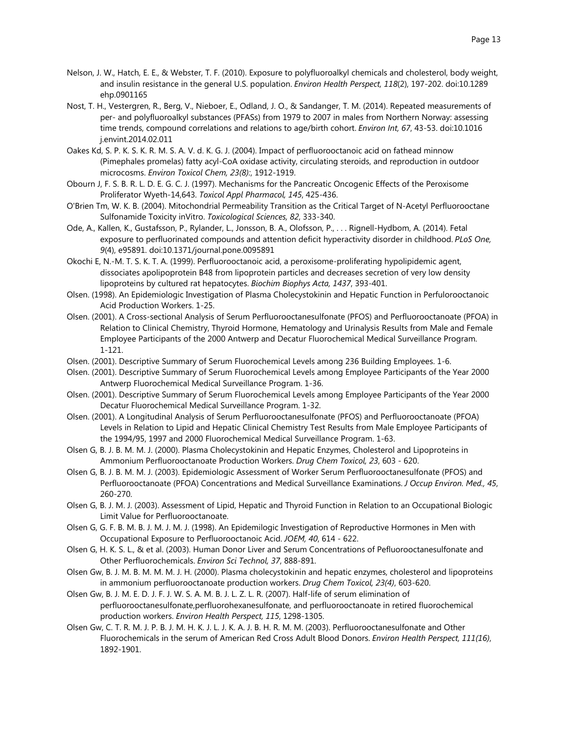- Nelson, J. W., Hatch, E. E., & Webster, T. F. (2010). Exposure to polyfluoroalkyl chemicals and cholesterol, body weight, and insulin resistance in the general U.S. population. *Environ Health Perspect, 118*(2), 197-202. doi:10.1289 ehp.0901165
- Nost, T. H., Vestergren, R., Berg, V., Nieboer, E., Odland, J. O., & Sandanger, T. M. (2014). Repeated measurements of per- and polyfluoroalkyl substances (PFASs) from 1979 to 2007 in males from Northern Norway: assessing time trends, compound correlations and relations to age/birth cohort. *Environ Int, 67*, 43-53. doi:10.1016 j.envint.2014.02.011
- Oakes Kd, S. P. K. S. K. R. M. S. A. V. d. K. G. J. (2004). Impact of perfluorooctanoic acid on fathead minnow (Pimephales promelas) fatty acyl-CoA oxidase activity, circulating steroids, and reproduction in outdoor microcosms. *Environ Toxicol Chem, 23(8):*, 1912-1919.
- Obourn J, F. S. B. R. L. D. E. G. C. J. (1997). Mechanisms for the Pancreatic Oncogenic Effects of the Peroxisome Proliferator Wyeth-14,643. *Toxicol Appl Pharmacol, 145*, 425-436.
- O'Brien Tm, W. K. B. (2004). Mitochondrial Permeability Transition as the Critical Target of N-Acetyl Perfluorooctane Sulfonamide Toxicity inVitro. *Toxicological Sciences, 82*, 333-340.
- Ode, A., Kallen, K., Gustafsson, P., Rylander, L., Jonsson, B. A., Olofsson, P., . . . Rignell-Hydbom, A. (2014). Fetal exposure to perfluorinated compounds and attention deficit hyperactivity disorder in childhood. *PLoS One, 9*(4), e95891. doi:10.1371/journal.pone.0095891
- Okochi E, N.-M. T. S. K. T. A. (1999). Perfluorooctanoic acid, a peroxisome-proliferating hypolipidemic agent, dissociates apolipoprotein B48 from lipoprotein particles and decreases secretion of very low density lipoproteins by cultured rat hepatocytes. *Biochim Biophys Acta, 1437*, 393-401.
- Olsen. (1998). An Epidemiologic Investigation of Plasma Cholecystokinin and Hepatic Function in Perfulorooctanoic Acid Production Workers. 1-25.
- Olsen. (2001). A Cross-sectional Analysis of Serum Perfluorooctanesulfonate (PFOS) and Perfluorooctanoate (PFOA) in Relation to Clinical Chemistry, Thyroid Hormone, Hematology and Urinalysis Results from Male and Female Employee Participants of the 2000 Antwerp and Decatur Fluorochemical Medical Surveillance Program. 1-121.
- Olsen. (2001). Descriptive Summary of Serum Fluorochemical Levels among 236 Building Employees. 1-6.
- Olsen. (2001). Descriptive Summary of Serum Fluorochemical Levels among Employee Participants of the Year 2000 Antwerp Fluorochemical Medical Surveillance Program. 1-36.
- Olsen. (2001). Descriptive Summary of Serum Fluorochemical Levels among Employee Participants of the Year 2000 Decatur Fluorochemical Medical Surveillance Program. 1-32.
- Olsen. (2001). A Longitudinal Analysis of Serum Perfluorooctanesulfonate (PFOS) and Perfluorooctanoate (PFOA) Levels in Relation to Lipid and Hepatic Clinical Chemistry Test Results from Male Employee Participants of the 1994/95, 1997 and 2000 Fluorochemical Medical Surveillance Program. 1-63.
- Olsen G, B. J. B. M. M. J. (2000). Plasma Cholecystokinin and Hepatic Enzymes, Cholesterol and Lipoproteins in Ammonium Perfluorooctanoate Production Workers. *Drug Chem Toxicol, 23*, 603 - 620.
- Olsen G, B. J. B. M. M. J. (2003). Epidemiologic Assessment of Worker Serum Perfluorooctanesulfonate (PFOS) and Perfluorooctanoate (PFOA) Concentrations and Medical Surveillance Examinations. *J Occup Environ. Med., 45*, 260-270.
- Olsen G, B. J. M. J. (2003). Assessment of Lipid, Hepatic and Thyroid Function in Relation to an Occupational Biologic Limit Value for Perfluorooctanoate.
- Olsen G, G. F. B. M. B. J. M. J. M. J. (1998). An Epidemilogic Investigation of Reproductive Hormones in Men with Occupational Exposure to Perfluorooctanoic Acid. *JOEM, 40*, 614 - 622.
- Olsen G, H. K. S. L., & et al. (2003). Human Donor Liver and Serum Concentrations of Pefluorooctanesulfonate and Other Perfluorochemicals. *Environ Sci Technol, 37*, 888-891.
- Olsen Gw, B. J. M. B. M. M. M. J. H. (2000). Plasma cholecystokinin and hepatic enzymes, cholesterol and lipoproteins in ammonium perfluorooctanoate production workers. *Drug Chem Toxicol, 23(4)*, 603-620.
- Olsen Gw, B. J. M. E. D. J. F. J. W. S. A. M. B. J. L. Z. L. R. (2007). Half-life of serum elimination of perfluorooctanesulfonate,perfluorohexanesulfonate, and perfluorooctanoate in retired fluorochemical production workers. *Environ Health Perspect, 115*, 1298-1305.
- Olsen Gw, C. T. R. M. J. P. B. J. M. H. K. J. L. J. K. A. J. B. H. R. M. M. (2003). Perfluorooctanesulfonate and Other Fluorochemicals in the serum of American Red Cross Adult Blood Donors. *Environ Health Perspect, 111(16)*, 1892-1901.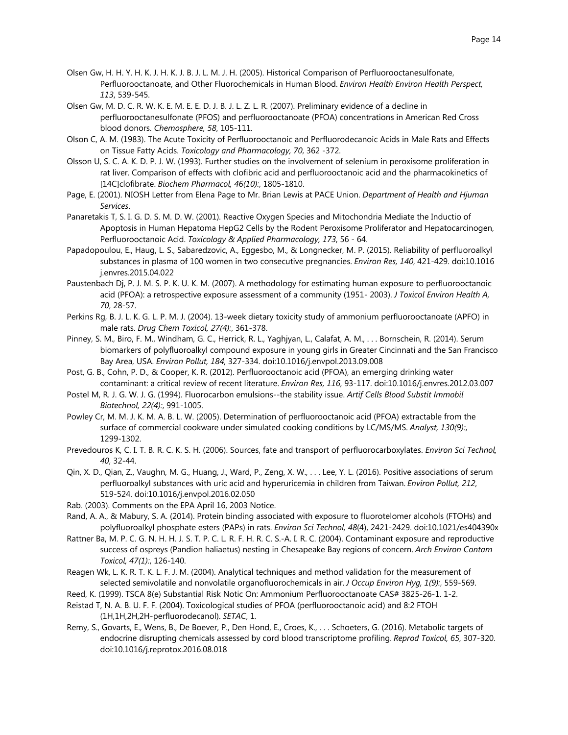- Olsen Gw, H. H. Y. H. K. J. H. K. J. B. J. L. M. J. H. (2005). Historical Comparison of Perfluorooctanesulfonate, Perfluorooctanoate, and Other Fluorochemicals in Human Blood. *Environ Health Environ Health Perspect, 113*, 539-545.
- Olsen Gw, M. D. C. R. W. K. E. M. E. E. D. J. B. J. L. Z. L. R. (2007). Preliminary evidence of a decline in perfluorooctanesulfonate (PFOS) and perfluorooctanoate (PFOA) concentrations in American Red Cross blood donors. *Chemosphere, 58*, 105-111.
- Olson C, A. M. (1983). The Acute Toxicity of Perfluorooctanoic and Perfluorodecanoic Acids in Male Rats and Effects on Tissue Fatty Acids. *Toxicology and Pharmacology, 70*, 362 -372.
- Olsson U, S. C. A. K. D. P. J. W. (1993). Further studies on the involvement of selenium in peroxisome proliferation in rat liver. Comparison of effects with clofibric acid and perfluorooctanoic acid and the pharmacokinetics of [14C]clofibrate. *Biochem Pharmacol, 46(10):*, 1805-1810.
- Page, E. (2001). NIOSH Letter from Elena Page to Mr. Brian Lewis at PACE Union. *Department of Health and Hjuman Services*.
- Panaretakis T, S. I. G. D. S. M. D. W. (2001). Reactive Oxygen Species and Mitochondria Mediate the Inductio of Apoptosis in Human Hepatoma HepG2 Cells by the Rodent Peroxisome Proliferator and Hepatocarcinogen, Perfluorooctanoic Acid. *Toxicology & Applied Pharmacology, 173*, 56 - 64.
- Papadopoulou, E., Haug, L. S., Sabaredzovic, A., Eggesbo, M., & Longnecker, M. P. (2015). Reliability of perfluoroalkyl substances in plasma of 100 women in two consecutive pregnancies. *Environ Res, 140*, 421-429. doi:10.1016 j.envres.2015.04.022
- Paustenbach Dj, P. J. M. S. P. K. U. K. M. (2007). A methodology for estimating human exposure to perfluorooctanoic acid (PFOA): a retrospective exposure assessment of a community (1951- 2003). *J Toxicol Environ Health A, 70*, 28-57.
- Perkins Rg, B. J. L. K. G. L. P. M. J. (2004). 13-week dietary toxicity study of ammonium perfluorooctanoate (APFO) in male rats. *Drug Chem Toxicol, 27(4):*, 361-378.
- Pinney, S. M., Biro, F. M., Windham, G. C., Herrick, R. L., Yaghjyan, L., Calafat, A. M., . . . Bornschein, R. (2014). Serum biomarkers of polyfluoroalkyl compound exposure in young girls in Greater Cincinnati and the San Francisco Bay Area, USA. *Environ Pollut, 184*, 327-334. doi:10.1016/j.envpol.2013.09.008
- Post, G. B., Cohn, P. D., & Cooper, K. R. (2012). Perfluorooctanoic acid (PFOA), an emerging drinking water contaminant: a critical review of recent literature. *Environ Res, 116*, 93-117. doi:10.1016/j.envres.2012.03.007
- Postel M, R. J. G. W. J. G. (1994). Fluorocarbon emulsions--the stability issue. *Artif Cells Blood Substit Immobil Biotechnol, 22(4):*, 991-1005.
- Powley Cr, M. M. J. K. M. A. B. L. W. (2005). Determination of perfluorooctanoic acid (PFOA) extractable from the surface of commercial cookware under simulated cooking conditions by LC/MS/MS. *Analyst, 130(9):*, 1299-1302.
- Prevedouros K, C. I. T. B. R. C. K. S. H. (2006). Sources, fate and transport of perfluorocarboxylates. *Environ Sci Technol, 40*, 32-44.
- Qin, X. D., Qian, Z., Vaughn, M. G., Huang, J., Ward, P., Zeng, X. W., . . . Lee, Y. L. (2016). Positive associations of serum perfluoroalkyl substances with uric acid and hyperuricemia in children from Taiwan. *Environ Pollut, 212*, 519-524. doi:10.1016/j.envpol.2016.02.050
- Rab. (2003). Comments on the EPA April 16, 2003 Notice.
- Rand, A. A., & Mabury, S. A. (2014). Protein binding associated with exposure to fluorotelomer alcohols (FTOHs) and polyfluoroalkyl phosphate esters (PAPs) in rats. *Environ Sci Technol, 48*(4), 2421-2429. doi:10.1021/es404390x
- Rattner Ba, M. P. C. G. N. H. H. J. S. T. P. C. L. R. F. H. R. C. S.-A. I. R. C. (2004). Contaminant exposure and reproductive success of ospreys (Pandion haliaetus) nesting in Chesapeake Bay regions of concern. *Arch Environ Contam Toxicol, 47(1):*, 126-140.
- Reagen Wk, L. K. R. T. K. L. F. J. M. (2004). Analytical techniques and method validation for the measurement of selected semivolatile and nonvolatile organofluorochemicals in air. *J Occup Environ Hyg, 1(9):*, 559-569.
- Reed, K. (1999). TSCA 8(e) Substantial Risk Notic On: Ammonium Perfluorooctanoate CAS# 3825-26-1. 1-2.
- Reistad T, N. A. B. U. F. F. (2004). Toxicological studies of PFOA (perfluorooctanoic acid) and 8:2 FTOH (1H,1H,2H,2H-perfluorodecanol). *SETAC*, 1.
- Remy, S., Govarts, E., Wens, B., De Boever, P., Den Hond, E., Croes, K., . . . Schoeters, G. (2016). Metabolic targets of endocrine disrupting chemicals assessed by cord blood transcriptome profiling. *Reprod Toxicol, 65*, 307-320. doi:10.1016/j.reprotox.2016.08.018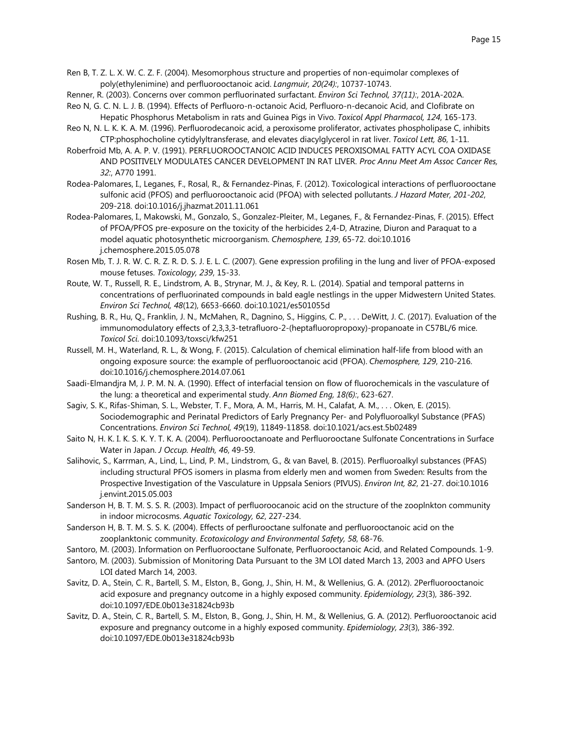Ren B, T. Z. L. X. W. C. Z. F. (2004). Mesomorphous structure and properties of non-equimolar complexes of poly(ethylenimine) and perfluorooctanoic acid. *Langmuir, 20(24):*, 10737-10743.

Renner, R. (2003). Concerns over common perfluorinated surfactant. *Environ Sci Technol, 37(11):*, 201A-202A.

- Reo N, G. C. N. L. J. B. (1994). Effects of Perfluoro-n-octanoic Acid, Perfluoro-n-decanoic Acid, and Clofibrate on Hepatic Phosphorus Metabolism in rats and Guinea Pigs in Vivo. *Toxicol Appl Pharmacol, 124*, 165-173.
- Reo N, N. L. K. K. A. M. (1996). Perfluorodecanoic acid, a peroxisome proliferator, activates phospholipase C, inhibits CTP:phosphocholine cytidylyltransferase, and elevates diacylglycerol in rat liver. *Toxicol Lett, 86*, 1-11.
- Roberfroid Mb, A. A. P. V. (1991). PERFLUOROOCTANOIC ACID INDUCES PEROXISOMAL FATTY ACYL COA OXIDASE AND POSITIVELY MODULATES CANCER DEVELOPMENT IN RAT LIVER. *Proc Annu Meet Am Assoc Cancer Res, 32:*, A770 1991.
- Rodea-Palomares, I., Leganes, F., Rosal, R., & Fernandez-Pinas, F. (2012). Toxicological interactions of perfluorooctane sulfonic acid (PFOS) and perfluorooctanoic acid (PFOA) with selected pollutants. *J Hazard Mater, 201-202*, 209-218. doi:10.1016/j.jhazmat.2011.11.061
- Rodea-Palomares, I., Makowski, M., Gonzalo, S., Gonzalez-Pleiter, M., Leganes, F., & Fernandez-Pinas, F. (2015). Effect of PFOA/PFOS pre-exposure on the toxicity of the herbicides 2,4-D, Atrazine, Diuron and Paraquat to a model aquatic photosynthetic microorganism. *Chemosphere, 139*, 65-72. doi:10.1016 j.chemosphere.2015.05.078
- Rosen Mb, T. J. R. W. C. R. Z. R. D. S. J. E. L. C. (2007). Gene expression profiling in the lung and liver of PFOA-exposed mouse fetuses. *Toxicology, 239*, 15-33.
- Route, W. T., Russell, R. E., Lindstrom, A. B., Strynar, M. J., & Key, R. L. (2014). Spatial and temporal patterns in concentrations of perfluorinated compounds in bald eagle nestlings in the upper Midwestern United States. *Environ Sci Technol, 48*(12), 6653-6660. doi:10.1021/es501055d
- Rushing, B. R., Hu, Q., Franklin, J. N., McMahen, R., Dagnino, S., Higgins, C. P., . . . DeWitt, J. C. (2017). Evaluation of the immunomodulatory effects of 2,3,3,3-tetrafluoro-2-(heptafluoropropoxy)-propanoate in C57BL/6 mice. *Toxicol Sci*. doi:10.1093/toxsci/kfw251
- Russell, M. H., Waterland, R. L., & Wong, F. (2015). Calculation of chemical elimination half-life from blood with an ongoing exposure source: the example of perfluorooctanoic acid (PFOA). *Chemosphere, 129*, 210-216. doi:10.1016/j.chemosphere.2014.07.061
- Saadi-Elmandjra M, J. P. M. N. A. (1990). Effect of interfacial tension on flow of fluorochemicals in the vasculature of the lung: a theoretical and experimental study. *Ann Biomed Eng, 18(6):*, 623-627.
- Sagiv, S. K., Rifas-Shiman, S. L., Webster, T. F., Mora, A. M., Harris, M. H., Calafat, A. M., . . . Oken, E. (2015). Sociodemographic and Perinatal Predictors of Early Pregnancy Per- and Polyfluoroalkyl Substance (PFAS) Concentrations. *Environ Sci Technol, 49*(19), 11849-11858. doi:10.1021/acs.est.5b02489
- Saito N, H. K. I. K. S. K. Y. T. K. A. (2004). Perfluorooctanoate and Perfluorooctane Sulfonate Concentrations in Surface Water in Japan. *J Occup. Health, 46*, 49-59.
- Salihovic, S., Karrman, A., Lind, L., Lind, P. M., Lindstrom, G., & van Bavel, B. (2015). Perfluoroalkyl substances (PFAS) including structural PFOS isomers in plasma from elderly men and women from Sweden: Results from the Prospective Investigation of the Vasculature in Uppsala Seniors (PIVUS). *Environ Int, 82*, 21-27. doi:10.1016 j.envint.2015.05.003
- Sanderson H, B. T. M. S. S. R. (2003). Impact of perfluoroocanoic acid on the structure of the zooplnkton community in indoor microcosms. *Aquatic Toxicology, 62*, 227-234.
- Sanderson H, B. T. M. S. S. K. (2004). Effects of perflurooctane sulfonate and perfluorooctanoic acid on the zooplanktonic community. *Ecotoxicology and Environmental Safety, 58*, 68-76.
- Santoro, M. (2003). Information on Perfluorooctane Sulfonate, Perfluorooctanoic Acid, and Related Compounds. 1-9.
- Santoro, M. (2003). Submission of Monitoring Data Pursuant to the 3M LOI dated March 13, 2003 and APFO Users LOI dated March 14, 2003.
- Savitz, D. A., Stein, C. R., Bartell, S. M., Elston, B., Gong, J., Shin, H. M., & Wellenius, G. A. (2012). 2Perfluorooctanoic acid exposure and pregnancy outcome in a highly exposed community. *Epidemiology, 23*(3), 386-392. doi:10.1097/EDE.0b013e31824cb93b
- Savitz, D. A., Stein, C. R., Bartell, S. M., Elston, B., Gong, J., Shin, H. M., & Wellenius, G. A. (2012). Perfluorooctanoic acid exposure and pregnancy outcome in a highly exposed community. *Epidemiology, 23*(3), 386-392. doi:10.1097/EDE.0b013e31824cb93b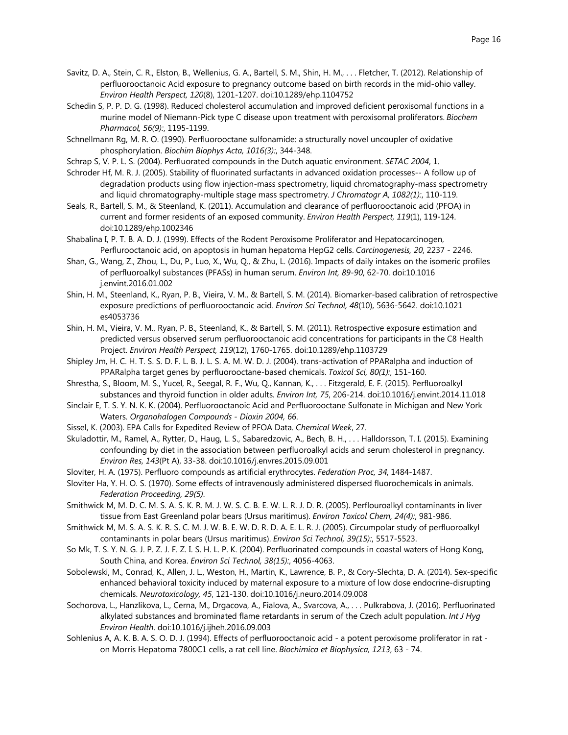- Savitz, D. A., Stein, C. R., Elston, B., Wellenius, G. A., Bartell, S. M., Shin, H. M., . . . Fletcher, T. (2012). Relationship of perfluorooctanoic Acid exposure to pregnancy outcome based on birth records in the mid-ohio valley. *Environ Health Perspect, 120*(8), 1201-1207. doi:10.1289/ehp.1104752
- Schedin S, P. P. D. G. (1998). Reduced cholesterol accumulation and improved deficient peroxisomal functions in a murine model of Niemann-Pick type C disease upon treatment with peroxisomal proliferators. *Biochem Pharmacol, 56(9):*, 1195-1199.
- Schnellmann Rg, M. R. O. (1990). Perfluorooctane sulfonamide: a structurally novel uncoupler of oxidative phosphorylation. *Biochim Biophys Acta, 1016(3):*, 344-348.
- Schrap S, V. P. L. S. (2004). Perfluorated compounds in the Dutch aquatic environment. *SETAC 2004*, 1.
- Schroder Hf, M. R. J. (2005). Stability of fluorinated surfactants in advanced oxidation processes-- A follow up of degradation products using flow injection-mass spectrometry, liquid chromatography-mass spectrometry and liquid chromatography-multiple stage mass spectrometry. *J Chromatogr A, 1082(1):*, 110-119.
- Seals, R., Bartell, S. M., & Steenland, K. (2011). Accumulation and clearance of perfluorooctanoic acid (PFOA) in current and former residents of an exposed community. *Environ Health Perspect, 119*(1), 119-124. doi:10.1289/ehp.1002346
- Shabalina I, P. T. B. A. D. J. (1999). Effects of the Rodent Peroxisome Proliferator and Hepatocarcinogen, Perflurooctanoic acid, on apoptosis in human hepatoma HepG2 cells. *Carcinogenesis, 20*, 2237 - 2246.
- Shan, G., Wang, Z., Zhou, L., Du, P., Luo, X., Wu, Q., & Zhu, L. (2016). Impacts of daily intakes on the isomeric profiles of perfluoroalkyl substances (PFASs) in human serum. *Environ Int, 89-90*, 62-70. doi:10.1016 j.envint.2016.01.002
- Shin, H. M., Steenland, K., Ryan, P. B., Vieira, V. M., & Bartell, S. M. (2014). Biomarker-based calibration of retrospective exposure predictions of perfluorooctanoic acid. *Environ Sci Technol, 48*(10), 5636-5642. doi:10.1021 es4053736
- Shin, H. M., Vieira, V. M., Ryan, P. B., Steenland, K., & Bartell, S. M. (2011). Retrospective exposure estimation and predicted versus observed serum perfluorooctanoic acid concentrations for participants in the C8 Health Project. *Environ Health Perspect, 119*(12), 1760-1765. doi:10.1289/ehp.1103729
- Shipley Jm, H. C. H. T. S. S. D. F. L. B. J. L. S. A. M. W. D. J. (2004). trans-activation of PPARalpha and induction of PPARalpha target genes by perfluorooctane-based chemicals. *Toxicol Sci, 80(1):*, 151-160.
- Shrestha, S., Bloom, M. S., Yucel, R., Seegal, R. F., Wu, Q., Kannan, K., . . . Fitzgerald, E. F. (2015). Perfluoroalkyl substances and thyroid function in older adults. *Environ Int, 75*, 206-214. doi:10.1016/j.envint.2014.11.018
- Sinclair E, T. S. Y. N. K. K. (2004). Perfluorooctanoic Acid and Perfluorooctane Sulfonate in Michigan and New York Waters. *Organohalogen Compounds - Dioxin 2004, 66*.
- Sissel, K. (2003). EPA Calls for Expedited Review of PFOA Data. *Chemical Week*, 27.
- Skuladottir, M., Ramel, A., Rytter, D., Haug, L. S., Sabaredzovic, A., Bech, B. H., . . . Halldorsson, T. I. (2015). Examining confounding by diet in the association between perfluoroalkyl acids and serum cholesterol in pregnancy. *Environ Res, 143*(Pt A), 33-38. doi:10.1016/j.envres.2015.09.001
- Sloviter, H. A. (1975). Perfluoro compounds as artificial erythrocytes. *Federation Proc, 34*, 1484-1487.
- Sloviter Ha, Y. H. O. S. (1970). Some effects of intravenously administered dispersed fluorochemicals in animals. *Federation Proceeding, 29(5)*.
- Smithwick M, M. D. C. M. S. A. S. K. R. M. J. W. S. C. B. E. W. L. R. J. D. R. (2005). Perflouroalkyl contaminants in liver tissue from East Greenland polar bears (Ursus maritimus). *Environ Toxicol Chem, 24(4):*, 981-986.
- Smithwick M, M. S. A. S. K. R. S. C. M. J. W. B. E. W. D. R. D. A. E. L. R. J. (2005). Circumpolar study of perfluoroalkyl contaminants in polar bears (Ursus maritimus). *Environ Sci Technol, 39(15):*, 5517-5523.
- So Mk, T. S. Y. N. G. J. P. Z. J. F. Z. I. S. H. L. P. K. (2004). Perfluorinated compounds in coastal waters of Hong Kong, South China, and Korea. *Environ Sci Technol, 38(15):*, 4056-4063.
- Sobolewski, M., Conrad, K., Allen, J. L., Weston, H., Martin, K., Lawrence, B. P., & Cory-Slechta, D. A. (2014). Sex-specific enhanced behavioral toxicity induced by maternal exposure to a mixture of low dose endocrine-disrupting chemicals. *Neurotoxicology, 45*, 121-130. doi:10.1016/j.neuro.2014.09.008
- Sochorova, L., Hanzlikova, L., Cerna, M., Drgacova, A., Fialova, A., Svarcova, A., . . . Pulkrabova, J. (2016). Perfluorinated alkylated substances and brominated flame retardants in serum of the Czech adult population. *Int J Hyg Environ Health*. doi:10.1016/j.ijheh.2016.09.003
- Sohlenius A, A. K. B. A. S. O. D. J. (1994). Effects of perfluorooctanoic acid a potent peroxisome proliferator in rat on Morris Hepatoma 7800C1 cells, a rat cell line. *Biochimica et Biophysica, 1213*, 63 - 74.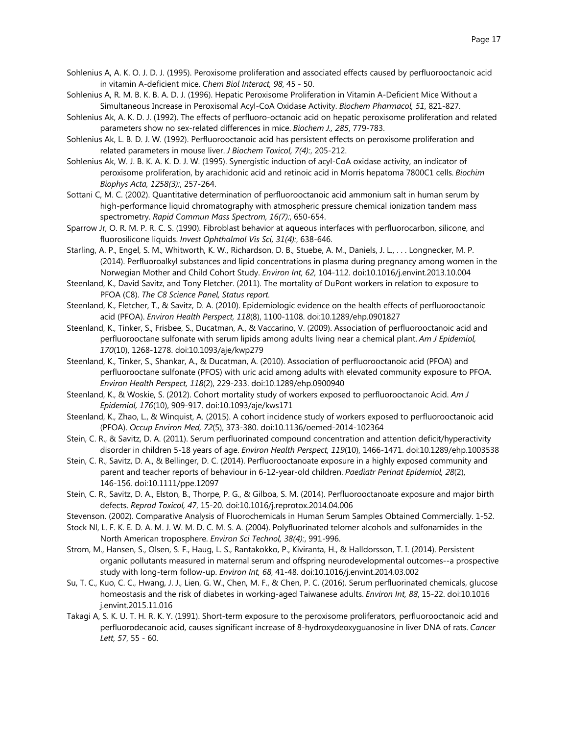- Sohlenius A, A. K. O. J. D. J. (1995). Peroxisome proliferation and associated effects caused by perfluorooctanoic acid in vitamin A-deficient mice. *Chem Biol Interact, 98*, 45 - 50.
- Sohlenius A, R. M. B. K. B. A. D. J. (1996). Hepatic Peroxisome Proliferation in Vitamin A-Deficient Mice Without a Simultaneous Increase in Peroxisomal Acyl-CoA Oxidase Activity. *Biochem Pharmacol, 51*, 821-827.
- Sohlenius Ak, A. K. D. J. (1992). The effects of perfluoro-octanoic acid on hepatic peroxisome proliferation and related parameters show no sex-related differences in mice. *Biochem J., 285*, 779-783.
- Sohlenius Ak, L. B. D. J. W. (1992). Perfluorooctanoic acid has persistent effects on peroxisome proliferation and related parameters in mouse liver. *J Biochem Toxicol, 7(4):*, 205-212.
- Sohlenius Ak, W. J. B. K. A. K. D. J. W. (1995). Synergistic induction of acyl-CoA oxidase activity, an indicator of peroxisome proliferation, by arachidonic acid and retinoic acid in Morris hepatoma 7800C1 cells. *Biochim Biophys Acta, 1258(3):*, 257-264.
- Sottani C, M. C. (2002). Quantitative determination of perfluorooctanoic acid ammonium salt in human serum by high-performance liquid chromatography with atmospheric pressure chemical ionization tandem mass spectrometry. *Rapid Commun Mass Spectrom, 16(7):*, 650-654.
- Sparrow Jr, O. R. M. P. R. C. S. (1990). Fibroblast behavior at aqueous interfaces with perfluorocarbon, silicone, and fluorosilicone liquids. *Invest Ophthalmol Vis Sci, 31(4):*, 638-646.
- Starling, A. P., Engel, S. M., Whitworth, K. W., Richardson, D. B., Stuebe, A. M., Daniels, J. L., . . . Longnecker, M. P. (2014). Perfluoroalkyl substances and lipid concentrations in plasma during pregnancy among women in the Norwegian Mother and Child Cohort Study. *Environ Int, 62*, 104-112. doi:10.1016/j.envint.2013.10.004
- Steenland, K., David Savitz, and Tony Fletcher. (2011). The mortality of DuPont workers in relation to exposure to PFOA (C8). *The C8 Science Panel, Status report*.
- Steenland, K., Fletcher, T., & Savitz, D. A. (2010). Epidemiologic evidence on the health effects of perfluorooctanoic acid (PFOA). *Environ Health Perspect, 118*(8), 1100-1108. doi:10.1289/ehp.0901827
- Steenland, K., Tinker, S., Frisbee, S., Ducatman, A., & Vaccarino, V. (2009). Association of perfluorooctanoic acid and perfluorooctane sulfonate with serum lipids among adults living near a chemical plant. *Am J Epidemiol, 170*(10), 1268-1278. doi:10.1093/aje/kwp279
- Steenland, K., Tinker, S., Shankar, A., & Ducatman, A. (2010). Association of perfluorooctanoic acid (PFOA) and perfluorooctane sulfonate (PFOS) with uric acid among adults with elevated community exposure to PFOA. *Environ Health Perspect, 118*(2), 229-233. doi:10.1289/ehp.0900940
- Steenland, K., & Woskie, S. (2012). Cohort mortality study of workers exposed to perfluorooctanoic Acid. *Am J Epidemiol, 176*(10), 909-917. doi:10.1093/aje/kws171
- Steenland, K., Zhao, L., & Winquist, A. (2015). A cohort incidence study of workers exposed to perfluorooctanoic acid (PFOA). *Occup Environ Med, 72*(5), 373-380. doi:10.1136/oemed-2014-102364
- Stein, C. R., & Savitz, D. A. (2011). Serum perfluorinated compound concentration and attention deficit/hyperactivity disorder in children 5-18 years of age. *Environ Health Perspect, 119*(10), 1466-1471. doi:10.1289/ehp.1003538
- Stein, C. R., Savitz, D. A., & Bellinger, D. C. (2014). Perfluorooctanoate exposure in a highly exposed community and parent and teacher reports of behaviour in 6-12-year-old children. *Paediatr Perinat Epidemiol, 28*(2), 146-156. doi:10.1111/ppe.12097
- Stein, C. R., Savitz, D. A., Elston, B., Thorpe, P. G., & Gilboa, S. M. (2014). Perfluorooctanoate exposure and major birth defects. *Reprod Toxicol, 47*, 15-20. doi:10.1016/j.reprotox.2014.04.006
- Stevenson. (2002). Comparative Analysis of Fluorochemicals in Human Serum Samples Obtained Commercially. 1-52.
- Stock Nl, L. F. K. E. D. A. M. J. W. M. D. C. M. S. A. (2004). Polyfluorinated telomer alcohols and sulfonamides in the North American troposphere. *Environ Sci Technol, 38(4):*, 991-996.
- Strom, M., Hansen, S., Olsen, S. F., Haug, L. S., Rantakokko, P., Kiviranta, H., & Halldorsson, T. I. (2014). Persistent organic pollutants measured in maternal serum and offspring neurodevelopmental outcomes--a prospective study with long-term follow-up. *Environ Int, 68*, 41-48. doi:10.1016/j.envint.2014.03.002
- Su, T. C., Kuo, C. C., Hwang, J. J., Lien, G. W., Chen, M. F., & Chen, P. C. (2016). Serum perfluorinated chemicals, glucose homeostasis and the risk of diabetes in working-aged Taiwanese adults. *Environ Int, 88*, 15-22. doi:10.1016 j.envint.2015.11.016
- Takagi A, S. K. U. T. H. R. K. Y. (1991). Short-term exposure to the peroxisome proliferators, perfluorooctanoic acid and perfluorodecanoic acid, causes significant increase of 8-hydroxydeoxyguanosine in liver DNA of rats. *Cancer Lett, 57*, 55 - 60.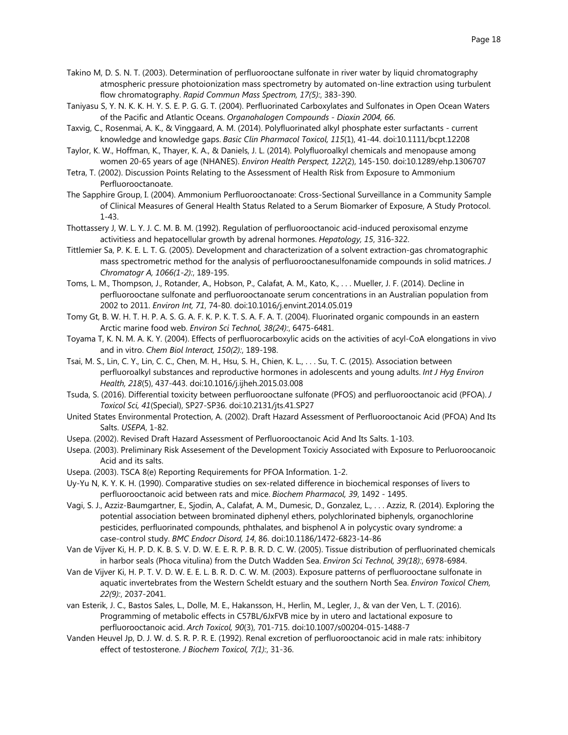- Takino M, D. S. N. T. (2003). Determination of perfluorooctane sulfonate in river water by liquid chromatography atmospheric pressure photoionization mass spectrometry by automated on-line extraction using turbulent flow chromatography. *Rapid Commun Mass Spectrom, 17(5):*, 383-390.
- Taniyasu S, Y. N. K. K. H. Y. S. E. P. G. G. T. (2004). Perfluorinated Carboxylates and Sulfonates in Open Ocean Waters of the Pacific and Atlantic Oceans. *Organohalogen Compounds - Dioxin 2004, 66*.
- Taxvig, C., Rosenmai, A. K., & Vinggaard, A. M. (2014). Polyfluorinated alkyl phosphate ester surfactants current knowledge and knowledge gaps. *Basic Clin Pharmacol Toxicol, 115*(1), 41-44. doi:10.1111/bcpt.12208
- Taylor, K. W., Hoffman, K., Thayer, K. A., & Daniels, J. L. (2014). Polyfluoroalkyl chemicals and menopause among women 20-65 years of age (NHANES). *Environ Health Perspect, 122*(2), 145-150. doi:10.1289/ehp.1306707
- Tetra, T. (2002). Discussion Points Relating to the Assessment of Health Risk from Exposure to Ammonium Perfluorooctanoate.
- The Sapphire Group, I. (2004). Ammonium Perfluorooctanoate: Cross-Sectional Surveillance in a Community Sample of Clinical Measures of General Health Status Related to a Serum Biomarker of Exposure, A Study Protocol. 1-43.
- Thottassery J, W. L. Y. J. C. M. B. M. (1992). Regulation of perfluorooctanoic acid-induced peroxisomal enzyme activitiess and hepatocellular growth by adrenal hormones. *Hepatology, 15*, 316-322.
- Tittlemier Sa, P. K. E. L. T. G. (2005). Development and characterization of a solvent extraction-gas chromatographic mass spectrometric method for the analysis of perfluorooctanesulfonamide compounds in solid matrices. *J Chromatogr A, 1066(1-2):*, 189-195.
- Toms, L. M., Thompson, J., Rotander, A., Hobson, P., Calafat, A. M., Kato, K., . . . Mueller, J. F. (2014). Decline in perfluorooctane sulfonate and perfluorooctanoate serum concentrations in an Australian population from 2002 to 2011. *Environ Int, 71*, 74-80. doi:10.1016/j.envint.2014.05.019
- Tomy Gt, B. W. H. T. H. P. A. S. G. A. F. K. P. K. T. S. A. F. A. T. (2004). Fluorinated organic compounds in an eastern Arctic marine food web. *Environ Sci Technol, 38(24):*, 6475-6481.
- Toyama T, K. N. M. A. K. Y. (2004). Effects of perfluorocarboxylic acids on the activities of acyl-CoA elongations in vivo and in vitro. *Chem Biol Interact, 150(2):*, 189-198.
- Tsai, M. S., Lin, C. Y., Lin, C. C., Chen, M. H., Hsu, S. H., Chien, K. L., . . . Su, T. C. (2015). Association between perfluoroalkyl substances and reproductive hormones in adolescents and young adults. *Int J Hyg Environ Health, 218*(5), 437-443. doi:10.1016/j.ijheh.2015.03.008
- Tsuda, S. (2016). Differential toxicity between perfluorooctane sulfonate (PFOS) and perfluorooctanoic acid (PFOA). *J Toxicol Sci, 41*(Special), SP27-SP36. doi:10.2131/jts.41.SP27
- United States Environmental Protection, A. (2002). Draft Hazard Assessment of Perfluorooctanoic Acid (PFOA) And Its Salts. *USEPA*, 1-82.
- Usepa. (2002). Revised Draft Hazard Assessment of Perfluorooctanoic Acid And Its Salts. 1-103.
- Usepa. (2003). Preliminary Risk Assesement of the Development Toxiciy Associated with Exposure to Perluoroocanoic Acid and its salts.
- Usepa. (2003). TSCA 8(e) Reporting Requirements for PFOA Information. 1-2.
- Uy-Yu N, K. Y. K. H. (1990). Comparative studies on sex-related difference in biochemical responses of livers to perfluorooctanoic acid between rats and mice. *Biochem Pharmacol, 39*, 1492 - 1495.
- Vagi, S. J., Azziz-Baumgartner, E., Sjodin, A., Calafat, A. M., Dumesic, D., Gonzalez, L., . . . Azziz, R. (2014). Exploring the potential association between brominated diphenyl ethers, polychlorinated biphenyls, organochlorine pesticides, perfluorinated compounds, phthalates, and bisphenol A in polycystic ovary syndrome: a case-control study. *BMC Endocr Disord, 14*, 86. doi:10.1186/1472-6823-14-86
- Van de Vijver Ki, H. P. D. K. B. S. V. D. W. E. E. R. P. B. R. D. C. W. (2005). Tissue distribution of perfluorinated chemicals in harbor seals (Phoca vitulina) from the Dutch Wadden Sea. *Environ Sci Technol, 39(18):*, 6978-6984.
- Van de Vijver Ki, H. P. T. V. D. W. E. E. L. B. R. D. C. W. M. (2003). Exposure patterns of perfluorooctane sulfonate in aquatic invertebrates from the Western Scheldt estuary and the southern North Sea. *Environ Toxicol Chem, 22(9):*, 2037-2041.
- van Esterik, J. C., Bastos Sales, L., Dolle, M. E., Hakansson, H., Herlin, M., Legler, J., & van der Ven, L. T. (2016). Programming of metabolic effects in C57BL/6JxFVB mice by in utero and lactational exposure to perfluorooctanoic acid. *Arch Toxicol, 90*(3), 701-715. doi:10.1007/s00204-015-1488-7
- Vanden Heuvel Jp, D. J. W. d. S. R. P. R. E. (1992). Renal excretion of perfluorooctanoic acid in male rats: inhibitory effect of testosterone. *J Biochem Toxicol, 7(1):*, 31-36.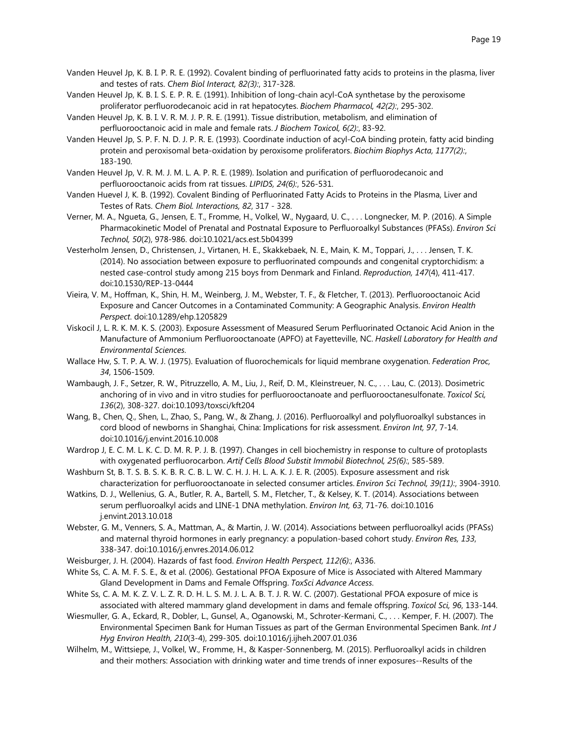- Vanden Heuvel Jp, K. B. I. P. R. E. (1992). Covalent binding of perfluorinated fatty acids to proteins in the plasma, liver and testes of rats. *Chem Biol Interact, 82(3):*, 317-328.
- Vanden Heuvel Jp, K. B. I. S. E. P. R. E. (1991). Inhibition of long-chain acyl-CoA synthetase by the peroxisome proliferator perfluorodecanoic acid in rat hepatocytes. *Biochem Pharmacol, 42(2):*, 295-302.
- Vanden Heuvel Jp, K. B. I. V. R. M. J. P. R. E. (1991). Tissue distribution, metabolism, and elimination of perfluorooctanoic acid in male and female rats. *J Biochem Toxicol, 6(2):*, 83-92.
- Vanden Heuvel Jp, S. P. F. N. D. J. P. R. E. (1993). Coordinate induction of acyl-CoA binding protein, fatty acid binding protein and peroxisomal beta-oxidation by peroxisome proliferators. *Biochim Biophys Acta, 1177(2):*, 183-190.
- Vanden Heuvel Jp, V. R. M. J. M. L. A. P. R. E. (1989). Isolation and purification of perfluorodecanoic and perfluorooctanoic acids from rat tissues. *LIPIDS, 24(6):*, 526-531.
- Vanden Huevel J, K. B. (1992). Covalent Binding of Perfluorinated Fatty Acids to Proteins in the Plasma, Liver and Testes of Rats. *Chem Biol. Interactions, 82*, 317 - 328.
- Verner, M. A., Ngueta, G., Jensen, E. T., Fromme, H., Volkel, W., Nygaard, U. C., . . . Longnecker, M. P. (2016). A Simple Pharmacokinetic Model of Prenatal and Postnatal Exposure to Perfluoroalkyl Substances (PFASs). *Environ Sci Technol, 50*(2), 978-986. doi:10.1021/acs.est.5b04399
- Vesterholm Jensen, D., Christensen, J., Virtanen, H. E., Skakkebaek, N. E., Main, K. M., Toppari, J., . . . Jensen, T. K. (2014). No association between exposure to perfluorinated compounds and congenital cryptorchidism: a nested case-control study among 215 boys from Denmark and Finland. *Reproduction, 147*(4), 411-417. doi:10.1530/REP-13-0444
- Vieira, V. M., Hoffman, K., Shin, H. M., Weinberg, J. M., Webster, T. F., & Fletcher, T. (2013). Perfluorooctanoic Acid Exposure and Cancer Outcomes in a Contaminated Community: A Geographic Analysis. *Environ Health Perspect*. doi:10.1289/ehp.1205829
- Viskocil J, L. R. K. M. K. S. (2003). Exposure Assessment of Measured Serum Perfluorinated Octanoic Acid Anion in the Manufacture of Ammonium Perfluorooctanoate (APFO) at Fayetteville, NC. *Haskell Laboratory for Health and Environmental Sciences*.
- Wallace Hw, S. T. P. A. W. J. (1975). Evaluation of fluorochemicals for liquid membrane oxygenation. *Federation Proc, 34*, 1506-1509.
- Wambaugh, J. F., Setzer, R. W., Pitruzzello, A. M., Liu, J., Reif, D. M., Kleinstreuer, N. C., . . . Lau, C. (2013). Dosimetric anchoring of in vivo and in vitro studies for perfluorooctanoate and perfluorooctanesulfonate. *Toxicol Sci, 136*(2), 308-327. doi:10.1093/toxsci/kft204
- Wang, B., Chen, Q., Shen, L., Zhao, S., Pang, W., & Zhang, J. (2016). Perfluoroalkyl and polyfluoroalkyl substances in cord blood of newborns in Shanghai, China: Implications for risk assessment. *Environ Int, 97*, 7-14. doi:10.1016/j.envint.2016.10.008
- Wardrop J, E. C. M. L. K. C. D. M. R. P. J. B. (1997). Changes in cell biochemistry in response to culture of protoplasts with oxygenated perfluorocarbon. *Artif Cells Blood Substit Immobil Biotechnol, 25(6):*, 585-589.
- Washburn St, B. T. S. B. S. K. B. R. C. B. L. W. C. H. J. H. L. A. K. J. E. R. (2005). Exposure assessment and risk characterization for perfluorooctanoate in selected consumer articles. *Environ Sci Technol, 39(11):*, 3904-3910.
- Watkins, D. J., Wellenius, G. A., Butler, R. A., Bartell, S. M., Fletcher, T., & Kelsey, K. T. (2014). Associations between serum perfluoroalkyl acids and LINE-1 DNA methylation. *Environ Int, 63*, 71-76. doi:10.1016 j.envint.2013.10.018
- Webster, G. M., Venners, S. A., Mattman, A., & Martin, J. W. (2014). Associations between perfluoroalkyl acids (PFASs) and maternal thyroid hormones in early pregnancy: a population-based cohort study. *Environ Res, 133*, 338-347. doi:10.1016/j.envres.2014.06.012
- Weisburger, J. H. (2004). Hazards of fast food. *Environ Health Perspect, 112(6):*, A336.
- White Ss, C. A. M. F. S. E., & et al. (2006). Gestational PFOA Exposure of Mice is Associated with Altered Mammary Gland Development in Dams and Female Offspring. *ToxSci Advance Access*.
- White Ss, C. A. M. K. Z. V. L. Z. R. D. H. L. S. M. J. L. A. B. T. J. R. W. C. (2007). Gestational PFOA exposure of mice is associated with altered mammary gland development in dams and female offspring. *Toxicol Sci, 96*, 133-144.
- Wiesmuller, G. A., Eckard, R., Dobler, L., Gunsel, A., Oganowski, M., Schroter-Kermani, C., . . . Kemper, F. H. (2007). The Environmental Specimen Bank for Human Tissues as part of the German Environmental Specimen Bank. *Int J Hyg Environ Health, 210*(3-4), 299-305. doi:10.1016/j.ijheh.2007.01.036
- Wilhelm, M., Wittsiepe, J., Volkel, W., Fromme, H., & Kasper-Sonnenberg, M. (2015). Perfluoroalkyl acids in children and their mothers: Association with drinking water and time trends of inner exposures--Results of the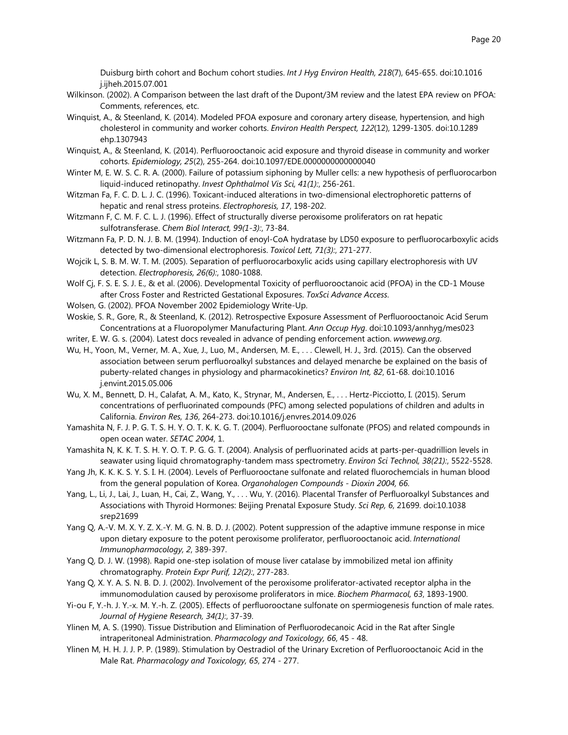Duisburg birth cohort and Bochum cohort studies. *Int J Hyg Environ Health, 218*(7), 645-655. doi:10.1016 j.ijheh.2015.07.001

- Wilkinson. (2002). A Comparison between the last draft of the Dupont/3M review and the latest EPA review on PFOA: Comments, references, etc.
- Winquist, A., & Steenland, K. (2014). Modeled PFOA exposure and coronary artery disease, hypertension, and high cholesterol in community and worker cohorts. *Environ Health Perspect, 122*(12), 1299-1305. doi:10.1289 ehp.1307943
- Winquist, A., & Steenland, K. (2014). Perfluorooctanoic acid exposure and thyroid disease in community and worker cohorts. *Epidemiology, 25*(2), 255-264. doi:10.1097/EDE.0000000000000040
- Winter M, E. W. S. C. R. A. (2000). Failure of potassium siphoning by Muller cells: a new hypothesis of perfluorocarbon liquid-induced retinopathy. *Invest Ophthalmol Vis Sci, 41(1):*, 256-261.
- Witzman Fa, F. C. D. L. J. C. (1996). Toxicant-induced alterations in two-dimensional electrophoretic patterns of hepatic and renal stress proteins. *Electrophoresis, 17*, 198-202.
- Witzmann F, C. M. F. C. L. J. (1996). Effect of structurally diverse peroxisome proliferators on rat hepatic sulfotransferase. *Chem Biol Interact, 99(1-3):*, 73-84.
- Witzmann Fa, P. D. N. J. B. M. (1994). Induction of enoyl-CoA hydratase by LD50 exposure to perfluorocarboxylic acids detected by two-dimensional electrophoresis. *Toxicol Lett, 71(3):*, 271-277.
- Wojcik L, S. B. M. W. T. M. (2005). Separation of perfluorocarboxylic acids using capillary electrophoresis with UV detection. *Electrophoresis, 26(6):*, 1080-1088.
- Wolf Cj, F. S. E. S. J. E., & et al. (2006). Developmental Toxicity of perfluorooctanoic acid (PFOA) in the CD-1 Mouse after Cross Foster and Restricted Gestational Exposures. *ToxSci Advance Access*.
- Wolsen, G. (2002). PFOA November 2002 Epidemiology Write-Up.
- Woskie, S. R., Gore, R., & Steenland, K. (2012). Retrospective Exposure Assessment of Perfluorooctanoic Acid Serum Concentrations at a Fluoropolymer Manufacturing Plant. *Ann Occup Hyg*. doi:10.1093/annhyg/mes023
- writer, E. W. G. s. (2004). Latest docs revealed in advance of pending enforcement action. *wwwewg.org*.
- Wu, H., Yoon, M., Verner, M. A., Xue, J., Luo, M., Andersen, M. E., . . . Clewell, H. J., 3rd. (2015). Can the observed association between serum perfluoroalkyl substances and delayed menarche be explained on the basis of puberty-related changes in physiology and pharmacokinetics? *Environ Int, 82*, 61-68. doi:10.1016 j.envint.2015.05.006
- Wu, X. M., Bennett, D. H., Calafat, A. M., Kato, K., Strynar, M., Andersen, E., . . . Hertz-Picciotto, I. (2015). Serum concentrations of perfluorinated compounds (PFC) among selected populations of children and adults in California. *Environ Res, 136*, 264-273. doi:10.1016/j.envres.2014.09.026
- Yamashita N, F. J. P. G. T. S. H. Y. O. T. K. K. G. T. (2004). Perfluorooctane sulfonate (PFOS) and related compounds in open ocean water. *SETAC 2004*, 1.
- Yamashita N, K. K. T. S. H. Y. O. T. P. G. G. T. (2004). Analysis of perfluorinated acids at parts-per-quadrillion levels in seawater using liquid chromatography-tandem mass spectrometry. *Environ Sci Technol, 38(21):*, 5522-5528.
- Yang Jh, K. K. K. S. Y. S. I. H. (2004). Levels of Perfluorooctane sulfonate and related fluorochemcials in human blood from the general population of Korea. *Organohalogen Compounds - Dioxin 2004, 66*.
- Yang, L., Li, J., Lai, J., Luan, H., Cai, Z., Wang, Y., . . . Wu, Y. (2016). Placental Transfer of Perfluoroalkyl Substances and Associations with Thyroid Hormones: Beijing Prenatal Exposure Study. *Sci Rep, 6*, 21699. doi:10.1038 srep21699
- Yang Q, A.-V. M. X. Y. Z. X.-Y. M. G. N. B. D. J. (2002). Potent suppression of the adaptive immune response in mice upon dietary exposure to the potent peroxisome proliferator, perfluorooctanoic acid. *International Immunopharmacology, 2*, 389-397.
- Yang Q, D. J. W. (1998). Rapid one-step isolation of mouse liver catalase by immobilized metal ion affinity chromatography. *Protein Expr Purif, 12(2):*, 277-283.
- Yang Q, X. Y. A. S. N. B. D. J. (2002). Involvement of the peroxisome proliferator-activated receptor alpha in the immunomodulation caused by peroxisome proliferators in mice. *Biochem Pharmacol, 63*, 1893-1900.
- Yi-ou F, Y.-h. J. Y.-x. M. Y.-h. Z. (2005). Effects of perfluorooctane sulfonate on spermiogenesis function of male rates. *Journal of Hygiene Research, 34(1):*, 37-39.
- Ylinen M, A. S. (1990). Tissue Distribution and Elimination of Perfluorodecanoic Acid in the Rat after Single intraperitoneal Administration. *Pharmacology and Toxicology, 66*, 45 - 48.
- Ylinen M, H. H. J. J. P. P. (1989). Stimulation by Oestradiol of the Urinary Excretion of Perfluorooctanoic Acid in the Male Rat. *Pharmacology and Toxicology, 65*, 274 - 277.